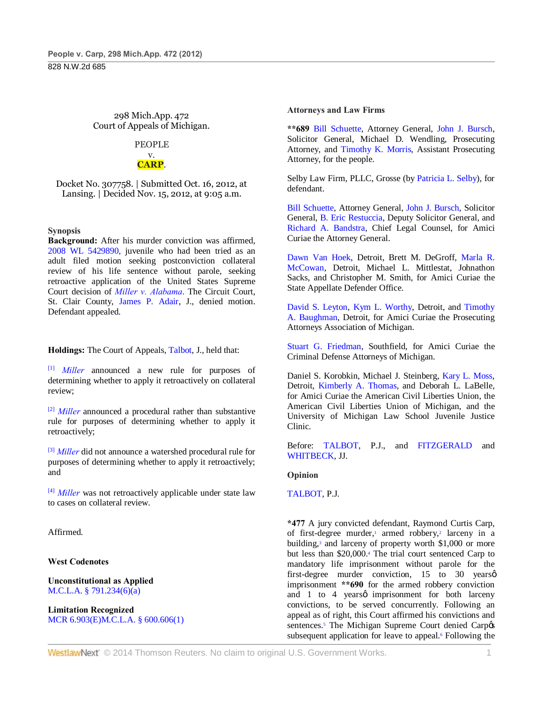298 Mich.App. 472 Court of Appeals of Michigan.

> PEOPLE v.

# **CARP**.

Docket No. 307758. | Submitted Oct. 16, 2012, at Lansing. | Decided Nov. 15, 2012, at 9:05 a.m.

## **Synopsis**

**Background:** After his murder conviction was affirmed, 2008 WL 5429890, juvenile who had been tried as an adult filed motion seeking postconviction collateral review of his life sentence without parole, seeking retroactive application of the United States Supreme Court decision of *Miller v. Alabama*. The Circuit Court, St. Clair County, James P. Adair, J., denied motion. Defendant appealed.

**Holdings:** The Court of Appeals, Talbot, J., held that:

[1] *Miller* announced a new rule for purposes of determining whether to apply it retroactively on collateral review;

[2] *Miller* announced a procedural rather than substantive rule for purposes of determining whether to apply it retroactively;

[3] *Miller* did not announce a watershed procedural rule for purposes of determining whether to apply it retroactively; and

[4] *Miller* was not retroactively applicable under state law to cases on collateral review.

Affirmed.

**West Codenotes**

**Unconstitutional as Applied** M.C.L.A. § 791.234(6)(a)

**Limitation Recognized** MCR 6.903(E)M.C.L.A. § 600.606(1)

#### **Attorneys and Law Firms**

**\*\*689** Bill Schuette, Attorney General, John J. Bursch, Solicitor General, Michael D. Wendling, Prosecuting Attorney, and Timothy K. Morris, Assistant Prosecuting Attorney, for the people.

Selby Law Firm, PLLC, Grosse (by Patricia L. Selby), for defendant.

Bill Schuette, Attorney General, John J. Bursch, Solicitor General, B. Eric Restuccia, Deputy Solicitor General, and Richard A. Bandstra, Chief Legal Counsel, for Amici Curiae the Attorney General.

Dawn Van Hoek, Detroit, Brett M. DeGroff, Marla R. McCowan, Detroit, Michael L. Mittlestat, Johnathon Sacks, and Christopher M. Smith, for Amici Curiae the State Appellate Defender Office.

David S. Leyton, Kym L. Worthy, Detroit, and Timothy A. Baughman, Detroit, for Amici Curiae the Prosecuting Attorneys Association of Michigan.

Stuart G. Friedman, Southfield, for Amici Curiae the Criminal Defense Attorneys of Michigan.

Daniel S. Korobkin, Michael J. Steinberg, Kary L. Moss, Detroit, Kimberly A. Thomas, and Deborah L. LaBelle, for Amici Curiae the American Civil Liberties Union, the American Civil Liberties Union of Michigan, and the University of Michigan Law School Juvenile Justice Clinic.

Before: TALBOT, P.J., and FITZGERALD and WHITBECK, JJ.

**Opinion**

TALBOT, P.J.

**\*477** A jury convicted defendant, Raymond Curtis Carp, of first-degree murder,<sup>1</sup> armed robbery,<sup>2</sup> larceny in a building,<sup>3</sup> and larceny of property worth \$1,000 or more but less than \$20,000.4 The trial court sentenced Carp to mandatory life imprisonment without parole for the first-degree murder conviction,  $15$  to  $30$  years  $\emptyset$ imprisonment **\*\*690** for the armed robbery conviction and 1 to 4 years oimprisonment for both larceny convictions, to be served concurrently. Following an appeal as of right, this Court affirmed his convictions and sentences.<sup>5</sup> The Michigan Supreme Court denied Carpøs subsequent application for leave to appeal.<sup>6</sup> Following the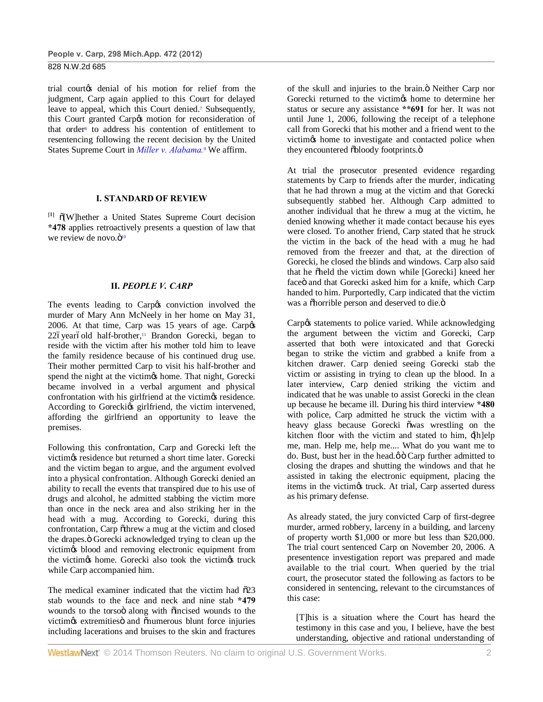#### **People v. Carp, 298 Mich.App. 472 (2012)**

## 828 N.W.2d 685

trial courtos denial of his motion for relief from the judgment, Carp again applied to this Court for delayed leave to appeal, which this Court denied.<sup>7</sup> Subsequently, this Court granted Carpos motion for reconsideration of that order8 to address his contention of entitlement to resentencing following the recent decision by the United States Supreme Court in *Miller v. Alabama.*<sup>9</sup> We affirm.

#### **I. STANDARD OF REVIEW**

**[1]** "[W]hether a United States Supreme Court decision **\*478** applies retroactively presents a question of law that we review de novo.<sup> $010$ </sup>

## **II.** *PEOPLE V. CARP*

The events leading to Carpøs conviction involved the murder of Mary Ann McNeely in her home on May 31,  $2006$ . At that time, Carp was 15 years of age. Carp $\&$ 22óyearóold half-brother, $\frac{11}{2}$  Brandon Gorecki, began to reside with the victim after his mother told him to leave the family residence because of his continued drug use. Their mother permitted Carp to visit his half-brother and spend the night at the victimes home. That night, Gorecki became involved in a verbal argument and physical confrontation with his girlfriend at the victimes residence. According to Gorecki $\alpha$  girlfriend, the victim intervened, affording the girlfriend an opportunity to leave the premises.

Following this confrontation, Carp and Gorecki left the victimøs residence but returned a short time later. Gorecki and the victim began to argue, and the argument evolved into a physical confrontation. Although Gorecki denied an ability to recall the events that transpired due to his use of drugs and alcohol, he admitted stabbing the victim more than once in the neck area and also striking her in the head with a mug. According to Gorecki, during this confrontation, Carp  $\delta$ threw a mug at the victim and closed the drapes. Ö Gorecki acknowledged trying to clean up the victim $\alpha$  blood and removing electronic equipment from the victimes home. Gorecki also took the victimes truck while Carp accompanied him.

The medical examiner indicated that the victim had  $\tilde{\sigma}$ 23 stab wounds to the face and neck and nine stab **\*479** wounds to the torsoö along with õincised wounds to the victim $\alpha$  extremities and  $\tilde{o}$ numerous blunt force injuries including lacerations and bruises to the skin and fractures of the skull and injuries to the brain. $\ddot{o}$  Neither Carp nor Gorecki returned to the victimes home to determine her status or secure any assistance **\*\*691** for her. It was not until June 1, 2006, following the receipt of a telephone call from Gorecki that his mother and a friend went to the victim $\alpha$  home to investigate and contacted police when they encountered  $\delta$ bloody footprints. $\ddot{o}$ 

At trial the prosecutor presented evidence regarding statements by Carp to friends after the murder, indicating that he had thrown a mug at the victim and that Gorecki subsequently stabbed her. Although Carp admitted to another individual that he threw a mug at the victim, he denied knowing whether it made contact because his eyes were closed. To another friend, Carp stated that he struck the victim in the back of the head with a mug he had removed from the freezer and that, at the direction of Gorecki, he closed the blinds and windows. Carp also said that he õheld the victim down while [Gorecki] kneed her faceö and that Gorecki asked him for a knife, which Carp handed to him. Purportedly, Carp indicated that the victim was a õhorrible person and deserved to die.ö

Carpøs statements to police varied. While acknowledging the argument between the victim and Gorecki, Carp asserted that both were intoxicated and that Gorecki began to strike the victim and grabbed a knife from a kitchen drawer. Carp denied seeing Gorecki stab the victim or assisting in trying to clean up the blood. In a later interview, Carp denied striking the victim and indicated that he was unable to assist Gorecki in the clean up because he became ill. During his third interview **\*480** with police, Carp admitted he struck the victim with a heavy glass because Gorecki owas wrestling on the kitchen floor with the victim and stated to him,  $\pm$ hlelp me, man. Help me, help me.... What do you want me to do. Bust, bust her in the head. $\phi$  o Carp further admitted to closing the drapes and shutting the windows and that he assisted in taking the electronic equipment, placing the items in the victimos truck. At trial, Carp asserted duress as his primary defense.

As already stated, the jury convicted Carp of first-degree murder, armed robbery, larceny in a building, and larceny of property worth \$1,000 or more but less than \$20,000. The trial court sentenced Carp on November 20, 2006. A presentence investigation report was prepared and made available to the trial court. When queried by the trial court, the prosecutor stated the following as factors to be considered in sentencing, relevant to the circumstances of this case:

[T]his is a situation where the Court has heard the testimony in this case and you, I believe, have the best understanding, objective and rational understanding of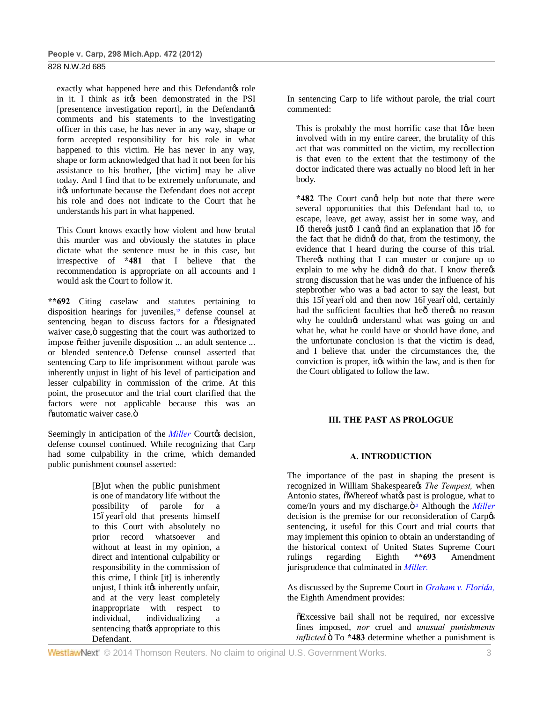exactly what happened here and this Defendant $\alpha$  role in it. I think as it the been demonstrated in the PSI [presentence investigation report], in the Defendantos comments and his statements to the investigating officer in this case, he has never in any way, shape or form accepted responsibility for his role in what happened to this victim. He has never in any way, shape or form acknowledged that had it not been for his assistance to his brother, [the victim] may be alive today. And I find that to be extremely unfortunate, and it $\alpha$  unfortunate because the Defendant does not accept his role and does not indicate to the Court that he understands his part in what happened.

This Court knows exactly how violent and how brutal this murder was and obviously the statutes in place dictate what the sentence must be in this case, but irrespective of **\*481** that I believe that the recommendation is appropriate on all accounts and I would ask the Court to follow it.

**\*\*692** Citing caselaw and statutes pertaining to disposition hearings for juveniles,12 defense counsel at sentencing began to discuss factors for a odesignated waiver case, ö suggesting that the court was authorized to impose õeither juvenile disposition ... an adult sentence ... or blended sentence.<sub>"</sub> Defense counsel asserted that sentencing Carp to life imprisonment without parole was inherently unjust in light of his level of participation and lesser culpability in commission of the crime. At this point, the prosecutor and the trial court clarified that the factors were not applicable because this was an õautomatic waiver case.ö

Seemingly in anticipation of the *Miller* Courte decision, defense counsel continued. While recognizing that Carp had some culpability in the crime, which demanded public punishment counsel asserted:

> [B]ut when the public punishment is one of mandatory life without the possibility of parole for a 15óyearóold that presents himself to this Court with absolutely no prior record whatsoever and without at least in my opinion, a direct and intentional culpability or responsibility in the commission of this crime, I think [it] is inherently unjust, I think it is inherently unfair, and at the very least completely inappropriate with respect to individual, individualizing a sentencing that *o*s appropriate to this Defendant.

In sentencing Carp to life without parole, the trial court commented:

This is probably the most horrific case that I give been involved with in my entire career, the brutality of this act that was committed on the victim, my recollection is that even to the extent that the testimony of the doctor indicated there was actually no blood left in her body.

\*482 The Court cangt help but note that there were several opportunities that this Defendant had to, to escape, leave, get away, assist her in some way, and Iô there iustô I can t find an explanation that Iô for the fact that he didnet do that, from the testimony, the evidence that I heard during the course of this trial. There *is* nothing that I can muster or conjure up to explain to me why he didnot do that. I know there  $\alpha$ strong discussion that he was under the influence of his stepbrother who was a bad actor to say the least, but this 15óyearóold and then now 16óyearóold, certainly had the sufficient faculties that heô there is no reason why he couldnot understand what was going on and what he, what he could have or should have done, and the unfortunate conclusion is that the victim is dead, and I believe that under the circumstances the, the conviction is proper, it is within the law, and is then for the Court obligated to follow the law.

#### **III. THE PAST AS PROLOGUE**

## **A. INTRODUCTION**

The importance of the past in shaping the present is recognized in William Shakespeare*rg The Tempest*, when Antonio states,  $\delta$ Whereof what& past is prologue, what to come/In yours and my discharge.<sup> $\ddot{o}$ 13</sup> Although the *Miller* decision is the premise for our reconsideration of Carpos sentencing, it useful for this Court and trial courts that may implement this opinion to obtain an understanding of the historical context of United States Supreme Court rulings regarding Eighth **\*\*693** Amendment jurisprudence that culminated in *Miller.*

As discussed by the Supreme Court in *Graham v. Florida,* the Eighth Amendment provides:

"Excessive bail shall not be required, nor excessive fines imposed, *nor* cruel and *unusual punishments inflicted.* To \*483 determine whether a punishment is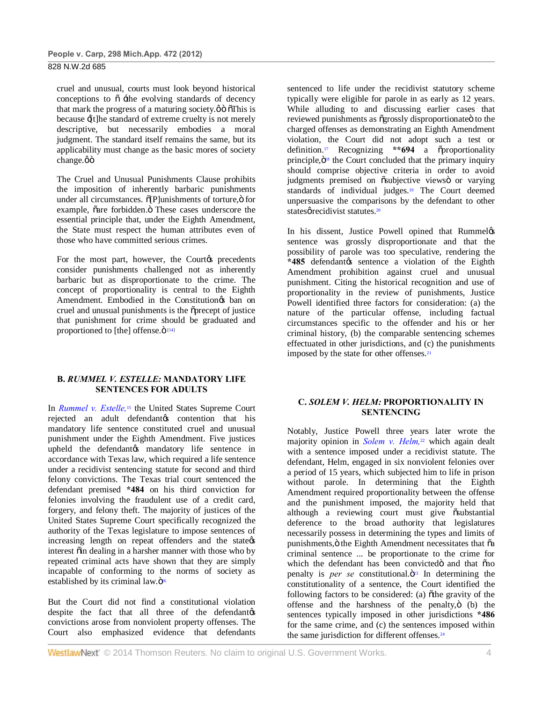cruel and unusual, courts must look beyond historical conceptions to  $\tilde{o}$  -the evolving standards of decency that mark the progress of a maturing society. $\phi$   $\ddot{\text{o}}$  This is because  $\pm$ [t]he standard of extreme cruelty is not merely descriptive, but necessarily embodies a moral judgment. The standard itself remains the same, but its applicability must change as the basic mores of society change.øö

The Cruel and Unusual Punishments Clause prohibits the imposition of inherently barbaric punishments under all circumstances.  $\tilde{O}[P]$ unishments of torture, $\tilde{O}$  for example, õare forbidden. Ühese cases underscore the essential principle that, under the Eighth Amendment, the State must respect the human attributes even of those who have committed serious crimes.

For the most part, however, the Courtes precedents consider punishments challenged not as inherently barbaric but as disproportionate to the crime. The concept of proportionality is central to the Eighth Amendment. Embodied in the Constitution & ban on cruel and unusual punishments is the oprecept of justice that punishment for crime should be graduated and proportioned to [the] offense. $\ddot{o}$ <sup>[14]</sup>

## **B.** *RUMMEL V. ESTELLE:* **MANDATORY LIFE SENTENCES FOR ADULTS**

In *Rummel v. Estelle,*<sup>15</sup> the United States Supreme Court rejected an adult defendant $\alpha$  contention that his mandatory life sentence constituted cruel and unusual punishment under the Eighth Amendment. Five justices upheld the defendantøs mandatory life sentence in accordance with Texas law, which required a life sentence under a recidivist sentencing statute for second and third felony convictions. The Texas trial court sentenced the defendant premised **\*484** on his third conviction for felonies involving the fraudulent use of a credit card, forgery, and felony theft. The majority of justices of the United States Supreme Court specifically recognized the authority of the Texas legislature to impose sentences of increasing length on repeat offenders and the state interest õin dealing in a harsher manner with those who by repeated criminal acts have shown that they are simply incapable of conforming to the norms of society as established by its criminal law. $\ddot{o}^{16}$ 

But the Court did not find a constitutional violation despite the fact that all three of the defendant  $\alpha$ convictions arose from nonviolent property offenses. The Court also emphasized evidence that defendants

sentenced to life under the recidivist statutory scheme typically were eligible for parole in as early as 12 years. While alluding to and discussing earlier cases that reviewed punishments as  $\tilde{\sigma}$ grossly disproportionate to the charged offenses as demonstrating an Eighth Amendment violation, the Court did not adopt such a test or definition.<sup>17</sup> Recognizing \*\*694 a  $\tilde{\text{o}}$  proportionality principle,  $\ddot{o}^{18}$  the Court concluded that the primary inquiry should comprise objective criteria in order to avoid judgments premised on  $\ddot{o}$ subjective views $\ddot{o}$  or varying standards of individual judges.<sup>19</sup> The Court deemed unpersuasive the comparisons by the defendant to other states $\sigma$  recidivist statutes.<sup>20</sup>

In his dissent, Justice Powell opined that Rummeløs sentence was grossly disproportionate and that the possibility of parole was too speculative, rendering the \*485 defendant<sub>o</sub> sentence a violation of the Eighth Amendment prohibition against cruel and unusual punishment. Citing the historical recognition and use of proportionality in the review of punishments, Justice Powell identified three factors for consideration: (a) the nature of the particular offense, including factual circumstances specific to the offender and his or her criminal history, (b) the comparable sentencing schemes effectuated in other jurisdictions, and (c) the punishments imposed by the state for other offenses.<sup>21</sup>

## **C.** *SOLEM V. HELM:* **PROPORTIONALITY IN SENTENCING**

Notably, Justice Powell three years later wrote the majority opinion in *Solem v. Helm,*<sup>22</sup> which again dealt with a sentence imposed under a recidivist statute. The defendant, Helm, engaged in six nonviolent felonies over a period of 15 years, which subjected him to life in prison without parole. In determining that the Eighth Amendment required proportionality between the offense and the punishment imposed, the majority held that although a reviewing court must give  $\ddot{o}$ substantial deference to the broad authority that legislatures necessarily possess in determining the types and limits of punishments, ö the Eighth Amendment necessitates that õa criminal sentence ... be proportionate to the crime for which the defendant has been convicted on and that  $\tilde{o}$  no penalty is *per se* constitutional. $\ddot{o}^{23}$  In determining the constitutionality of a sentence, the Court identified the following factors to be considered: (a) othe gravity of the offense and the harshness of the penalty, $\ddot{o}$  (b) the sentences typically imposed in other jurisdictions **\*486** for the same crime, and (c) the sentences imposed within the same jurisdiction for different offenses.<sup>24</sup>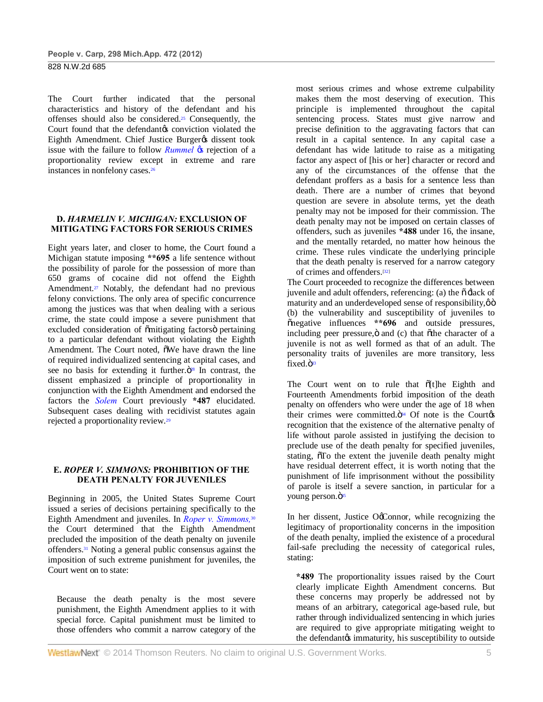The Court further indicated that the personal characteristics and history of the defendant and his offenses should also be considered.25 Consequently, the Court found that the defendant to conviction violated the Eighth Amendment. Chief Justice Burger & dissent took issue with the failure to follow *Rummel*  $\&$  rejection of a proportionality review except in extreme and rare instances in nonfelony cases.26

#### **D.** *HARMELIN V. MICHIGAN:* **EXCLUSION OF MITIGATING FACTORS FOR SERIOUS CRIMES**

Eight years later, and closer to home, the Court found a Michigan statute imposing **\*\*695** a life sentence without the possibility of parole for the possession of more than 650 grams of cocaine did not offend the Eighth Amendment.<sup>27</sup> Notably, the defendant had no previous felony convictions. The only area of specific concurrence among the justices was that when dealing with a serious crime, the state could impose a severe punishment that excluded consideration of  $\tilde{c}$  mitigating factors $\ddot{o}$  pertaining to a particular defendant without violating the Eighth Amendment. The Court noted, oWe have drawn the line of required individualized sentencing at capital cases, and see no basis for extending it further. $\ddot{\sigma}^2$  In contrast, the dissent emphasized a principle of proportionality in conjunction with the Eighth Amendment and endorsed the factors the *Solem* Court previously **\*487** elucidated. Subsequent cases dealing with recidivist statutes again rejected a proportionality review.29

#### **E.** *ROPER V. SIMMONS:* **PROHIBITION OF THE DEATH PENALTY FOR JUVENILES**

Beginning in 2005, the United States Supreme Court issued a series of decisions pertaining specifically to the Eighth Amendment and juveniles. In *Roper v. Simmons,*<sup>30</sup> the Court determined that the Eighth Amendment precluded the imposition of the death penalty on juvenile offenders.31 Noting a general public consensus against the imposition of such extreme punishment for juveniles, the Court went on to state:

Because the death penalty is the most severe punishment, the Eighth Amendment applies to it with special force. Capital punishment must be limited to those offenders who commit a narrow category of the

most serious crimes and whose extreme culpability makes them the most deserving of execution. This principle is implemented throughout the capital sentencing process. States must give narrow and precise definition to the aggravating factors that can result in a capital sentence. In any capital case a defendant has wide latitude to raise as a mitigating factor any aspect of [his or her] character or record and any of the circumstances of the offense that the defendant proffers as a basis for a sentence less than death. There are a number of crimes that beyond question are severe in absolute terms, yet the death penalty may not be imposed for their commission. The death penalty may not be imposed on certain classes of offenders, such as juveniles **\*488** under 16, the insane, and the mentally retarded, no matter how heinous the crime. These rules vindicate the underlying principle that the death penalty is reserved for a narrow category of crimes and offenders.[32]

The Court proceeded to recognize the differences between juvenile and adult offenders, referencing: (a) the  $\tilde{o}$   $\exists$ ack of maturity and an underdeveloped sense of responsibility, $\phi$   $\ddot{o}$ (b) the vulnerability and susceptibility of juveniles to "negative influences **\*\*696** and outside pressures, including peer pressure, $\ddot{o}$  and (c) that  $\ddot{o}$ the character of a juvenile is not as well formed as that of an adult. The personality traits of juveniles are more transitory, less  $fixed.\ddot{o}^{33}$ 

The Court went on to rule that  $\tilde{o}[t]$ he Eighth and Fourteenth Amendments forbid imposition of the death penalty on offenders who were under the age of 18 when their crimes were committed. $\ddot{o}^{34}$  Of note is the Courtos recognition that the existence of the alternative penalty of life without parole assisted in justifying the decision to preclude use of the death penalty for specified juveniles, stating,  $\delta$ To the extent the juvenile death penalty might have residual deterrent effect, it is worth noting that the punishment of life imprisonment without the possibility of parole is itself a severe sanction, in particular for a young person. $\ddot{\mathrm{o}}^{35}$ 

In her dissent, Justice OcConnor, while recognizing the legitimacy of proportionality concerns in the imposition of the death penalty, implied the existence of a procedural fail-safe precluding the necessity of categorical rules, stating:

**\*489** The proportionality issues raised by the Court clearly implicate Eighth Amendment concerns. But these concerns may properly be addressed not by means of an arbitrary, categorical age-based rule, but rather through individualized sentencing in which juries are required to give appropriate mitigating weight to the defendant ts immaturity, his susceptibility to outside

**WestlawNext'** © 2014 Thomson Reuters. No claim to original U.S. Government Works. 5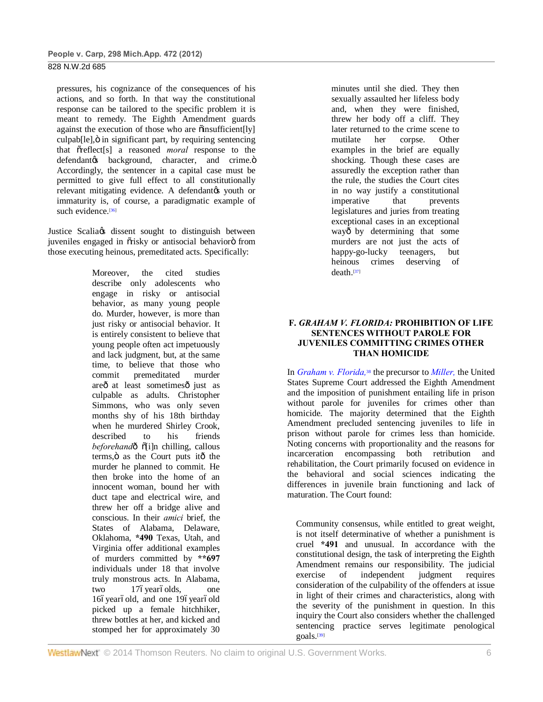pressures, his cognizance of the consequences of his actions, and so forth. In that way the constitutional response can be tailored to the specific problem it is meant to remedy. The Eighth Amendment guards against the execution of those who are  $\ddot{\text{o}}$  insufficient[ly] culpab<sup>[le]</sup>,  $\ddot{o}$  in significant part, by requiring sentencing that  $\tilde{\text{order}}[s]$  a reasoned *moral* response to the defendantøs background, character, and crime.ö Accordingly, the sentencer in a capital case must be permitted to give full effect to all constitutionally relevant mitigating evidence. A defendantøs youth or immaturity is, of course, a paradigmatic example of such evidence.<sup>[36]</sup>

Justice Scalia & dissent sought to distinguish between juveniles engaged in õrisky or antisocial behaviorö from those executing heinous, premeditated acts. Specifically:

> Moreover, the cited studies describe only adolescents who engage in risky or antisocial behavior, as many young people do. Murder, however, is more than just risky or antisocial behavior. It is entirely consistent to believe that young people often act impetuously and lack judgment, but, at the same time, to believe that those who commit premeditated murder areô at least sometimesô just as culpable as adults. Christopher Simmons, who was only seven months shy of his 18th birthday when he murdered Shirley Crook, described to his friends *beforehand*ô õ[i]n chilling, callous terms,  $\ddot{o}$  as the Court puts it $\ddot{o}$  the murder he planned to commit. He then broke into the home of an innocent woman, bound her with duct tape and electrical wire, and threw her off a bridge alive and conscious. In their *amici* brief, the States of Alabama, Delaware, Oklahoma, **\*490** Texas, Utah, and Virginia offer additional examples of murders committed by **\*\*697** individuals under 18 that involve truly monstrous acts. In Alabama, two 176 year óolds, one 16óyearóold, and one 19óyearóold picked up a female hitchhiker, threw bottles at her, and kicked and stomped her for approximately 30

minutes until she died. They then sexually assaulted her lifeless body and, when they were finished, threw her body off a cliff. They later returned to the crime scene to mutilate her corpse. Other examples in the brief are equally shocking. Though these cases are assuredly the exception rather than the rule, the studies the Court cites in no way justify a constitutional imperative that prevents legislatures and juries from treating exceptional cases in an exceptional wayô by determining that some murders are not just the acts of happy-go-lucky teenagers, but heinous crimes deserving of death.[37]

## **F.** *GRAHAM V. FLORIDA:* **PROHIBITION OF LIFE SENTENCES WITHOUT PAROLE FOR JUVENILES COMMITTING CRIMES OTHER THAN HOMICIDE**

In *Graham v. Florida,*<sup>38</sup> the precursor to *Miller,* the United States Supreme Court addressed the Eighth Amendment and the imposition of punishment entailing life in prison without parole for juveniles for crimes other than homicide. The majority determined that the Eighth Amendment precluded sentencing juveniles to life in prison without parole for crimes less than homicide. Noting concerns with proportionality and the reasons for incarceration encompassing both retribution and rehabilitation, the Court primarily focused on evidence in the behavioral and social sciences indicating the differences in juvenile brain functioning and lack of maturation. The Court found:

Community consensus, while entitled to great weight, is not itself determinative of whether a punishment is cruel **\*491** and unusual. In accordance with the constitutional design, the task of interpreting the Eighth Amendment remains our responsibility. The judicial exercise of independent judgment requires consideration of the culpability of the offenders at issue in light of their crimes and characteristics, along with the severity of the punishment in question. In this inquiry the Court also considers whether the challenged sentencing practice serves legitimate penological goals.[39]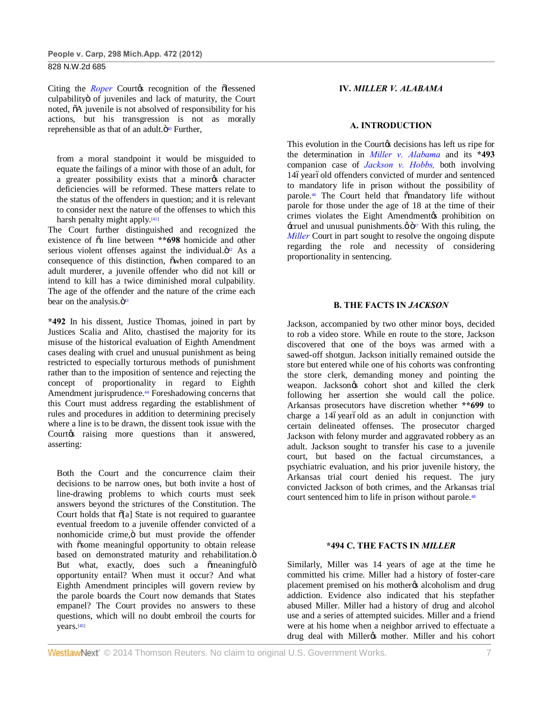Citing the *Roper* Courtes recognition of the ollessened culpability of juveniles and lack of maturity, the Court noted,  $\tilde{o}A$  juvenile is not absolved of responsibility for his actions, but his transgression is not as morally reprehensible as that of an adult. $\ddot{o}^{40}$  Further,

from a moral standpoint it would be misguided to equate the failings of a minor with those of an adult, for a greater possibility exists that a minor os character deficiencies will be reformed. These matters relate to the status of the offenders in question; and it is relevant to consider next the nature of the offenses to which this harsh penalty might apply.<sup>[41]</sup>

The Court further distinguished and recognized the existence of  $\tilde{o}a$  line between \*\*698 homicide and other serious violent offenses against the individual. $\ddot{\sigma}^2$  As a consequence of this distinction, owhen compared to an adult murderer, a juvenile offender who did not kill or intend to kill has a twice diminished moral culpability. The age of the offender and the nature of the crime each bear on the analysis. $\ddot{o}^{43}$ 

**\*492** In his dissent, Justice Thomas, joined in part by Justices Scalia and Alito, chastised the majority for its misuse of the historical evaluation of Eighth Amendment cases dealing with cruel and unusual punishment as being restricted to especially torturous methods of punishment rather than to the imposition of sentence and rejecting the concept of proportionality in regard to Eighth Amendment jurisprudence.<sup>44</sup> Foreshadowing concerns that this Court must address regarding the establishment of rules and procedures in addition to determining precisely where a line is to be drawn, the dissent took issue with the Courto raising more questions than it answered, asserting:

Both the Court and the concurrence claim their decisions to be narrow ones, but both invite a host of line-drawing problems to which courts must seek answers beyond the strictures of the Constitution. The Court holds that  $\delta[a]$  State is not required to guarantee eventual freedom to a juvenile offender convicted of a nonhomicide crime, ö but must provide the offender with  $\tilde{\text{osome}}$  meaningful opportunity to obtain release based on demonstrated maturity and rehabilitation. $\ddot{o}$ But what, exactly, does such a omeaningfulo opportunity entail? When must it occur? And what Eighth Amendment principles will govern review by the parole boards the Court now demands that States empanel? The Court provides no answers to these questions, which will no doubt embroil the courts for years.[45]

## **IV.** *MILLER V. ALABAMA*

#### **A. INTRODUCTION**

This evolution in the Courtos decisions has left us ripe for the determination in *Miller v. Alabama* and its **\*493** companion case of *Jackson v. Hobbs,* both involving 14óyearóold offenders convicted of murder and sentenced to mandatory life in prison without the possibility of parole.<sup>46</sup> The Court held that õmandatory life without parole for those under the age of 18 at the time of their crimes violates the Eight Amendment to prohibition on -cruel and unusual punishments. $\phi \ddot{\sigma}$ <sup>7</sup> With this ruling, the *Miller* Court in part sought to resolve the ongoing dispute regarding the role and necessity of considering proportionality in sentencing.

## **B. THE FACTS IN** *JACKSON*

Jackson, accompanied by two other minor boys, decided to rob a video store. While en route to the store, Jackson discovered that one of the boys was armed with a sawed-off shotgun. Jackson initially remained outside the store but entered while one of his cohorts was confronting the store clerk, demanding money and pointing the weapon. Jackson $\circ$ s cohort shot and killed the clerk following her assertion she would call the police. Arkansas prosecutors have discretion whether **\*\*699** to charge a  $146$  year 60 as an adult in conjunction with certain delineated offenses. The prosecutor charged Jackson with felony murder and aggravated robbery as an adult. Jackson sought to transfer his case to a juvenile court, but based on the factual circumstances, a psychiatric evaluation, and his prior juvenile history, the Arkansas trial court denied his request. The jury convicted Jackson of both crimes, and the Arkansas trial court sentenced him to life in prison without parole.<sup>48</sup>

#### **\*494 C. THE FACTS IN** *MILLER*

Similarly, Miller was 14 years of age at the time he committed his crime. Miller had a history of foster-care placement premised on his mother & alcoholism and drug addiction. Evidence also indicated that his stepfather abused Miller. Miller had a history of drug and alcohol use and a series of attempted suicides. Miller and a friend were at his home when a neighbor arrived to effectuate a drug deal with Miller $\alpha$ s mother. Miller and his cohort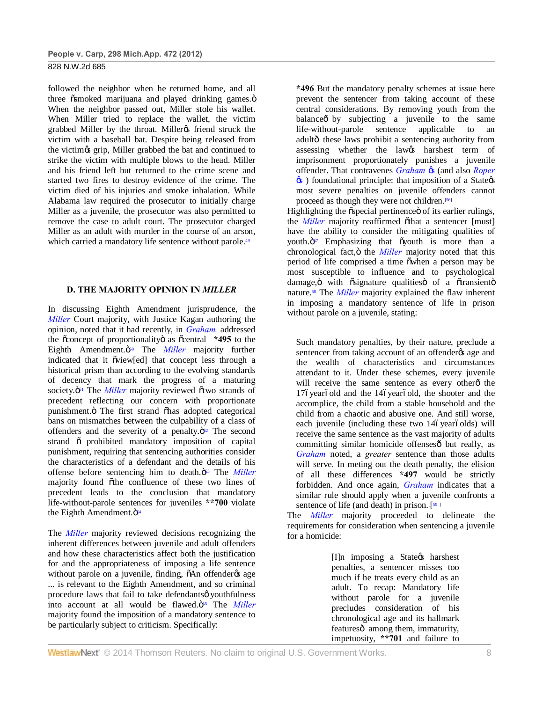followed the neighbor when he returned home, and all three  $\ddot{\text{o}}$ smoked marijuana and played drinking games. $\ddot{\text{o}}$ When the neighbor passed out, Miller stole his wallet. When Miller tried to replace the wallet, the victim grabbed Miller by the throat. Miller os friend struck the victim with a baseball bat. Despite being released from the victimes grip, Miller grabbed the bat and continued to strike the victim with multiple blows to the head. Miller and his friend left but returned to the crime scene and started two fires to destroy evidence of the crime. The victim died of his injuries and smoke inhalation. While Alabama law required the prosecutor to initially charge Miller as a juvenile, the prosecutor was also permitted to remove the case to adult court. The prosecutor charged Miller as an adult with murder in the course of an arson, which carried a mandatory life sentence without parole.<sup>49</sup>

#### **D. THE MAJORITY OPINION IN** *MILLER*

In discussing Eighth Amendment jurisprudence, the *Miller* Court majority, with Justice Kagan authoring the opinion, noted that it had recently, in *Graham,* addressed the  $\tilde{\text{c}}$  concept of proportionality as  $\tilde{\text{c}}$  central **\*495** to the Eighth Amendment.<sup>550</sup> The *Miller* majority further indicated that it õview[ed] that concept less through a historical prism than according to the evolving standards of decency that mark the progress of a maturing society.<sup> $\ddot{o}^{51}$ </sup> The *Miller* majority reviewed  $\ddot{o}$ two strands of precedent reflecting our concern with proportionate punishment. The first strand othas adopted categorical bans on mismatches between the culpability of a class of offenders and the severity of a penalty. $\ddot{\sigma}^2$  The second strand  $\ddot{o}$  prohibited mandatory imposition of capital punishment, requiring that sentencing authorities consider the characteristics of a defendant and the details of his offense before sentencing him to death.<sup>553</sup> The *Miller* majority found othe confluence of these two lines of precedent leads to the conclusion that mandatory life-without-parole sentences for juveniles **\*\*700** violate the Eighth Amendment. $\ddot{0}^{54}$ 

The *Miller* majority reviewed decisions recognizing the inherent differences between juvenile and adult offenders and how these characteristics affect both the justification for and the appropriateness of imposing a life sentence without parole on a juvenile, finding,  $\delta A$ n offender $\alpha$ s age ... is relevant to the Eighth Amendment, and so criminal procedure laws that fail to take defendantsø youthfulness into account at all would be flawed.<sup> $\ddot{\sigma}$ 55</sup> The *Miller* majority found the imposition of a mandatory sentence to be particularly subject to criticism. Specifically:

**\*496** But the mandatory penalty schemes at issue here prevent the sentencer from taking account of these central considerations. By removing youth from the balance oby subjecting a juvenile to the same life-without-parole sentence applicable to an adultô these laws prohibit a sentencing authority from assessing whether the law $\alpha$  harshest term of imprisonment proportionately punishes a juvenile offender. That contravenes *Graham*  $\&$  (and also *Roper*  $\circ$  ) foundational principle: that imposition of a State $\circ$ most severe penalties on juvenile offenders cannot proceed as though they were not children.<sup>[56]</sup>

Highlighting the  $\tilde{\text{e}}$  special pertinence of its earlier rulings, the *Miller* majority reaffirmed othat a sentencer [must] have the ability to consider the mitigating qualities of youth.  $\ddot{\sigma}$ <sup>7</sup> Emphasizing that  $\ddot{\sigma}$ youth is more than a chronological fact,  $\ddot{o}$  the *Miller* majority noted that this period of life comprised a time  $\tilde{\text{o}}$  when a person may be most susceptible to influence and to psychological damage, ö with õsignature qualities öof a õtransientö nature.58 The *Miller* majority explained the flaw inherent in imposing a mandatory sentence of life in prison without parole on a juvenile, stating:

Such mandatory penalties, by their nature, preclude a sentencer from taking account of an offender age and the wealth of characteristics and circumstances attendant to it. Under these schemes, every juvenile will receive the same sentence as every otherô the 176year6old and the 146year6old, the shooter and the accomplice, the child from a stable household and the child from a chaotic and abusive one. And still worse, each juvenile (including these two 146year6olds) will receive the same sentence as the vast majority of adults committing similar homicide offensesô but really, as *Graham* noted, a *greater* sentence than those adults will serve. In meting out the death penalty, the elision of all these differences **\*497** would be strictly forbidden. And once again, *Graham* indicates that a similar rule should apply when a juvenile confronts a sentence of life (and death) in prison.<sup>[59]</sup>

The *Miller* majority proceeded to delineate the requirements for consideration when sentencing a juvenile for a homicide:

> [I]n imposing a Stategs harshest penalties, a sentencer misses too much if he treats every child as an adult. To recap: Mandatory life without parole for a juvenile precludes consideration of his chronological age and its hallmark features<sub>o</sub> among them, immaturity, impetuosity, **\*\*701** and failure to

WestlawNext<sup>®</sup> © 2014 Thomson Reuters. No claim to original U.S. Government Works. 88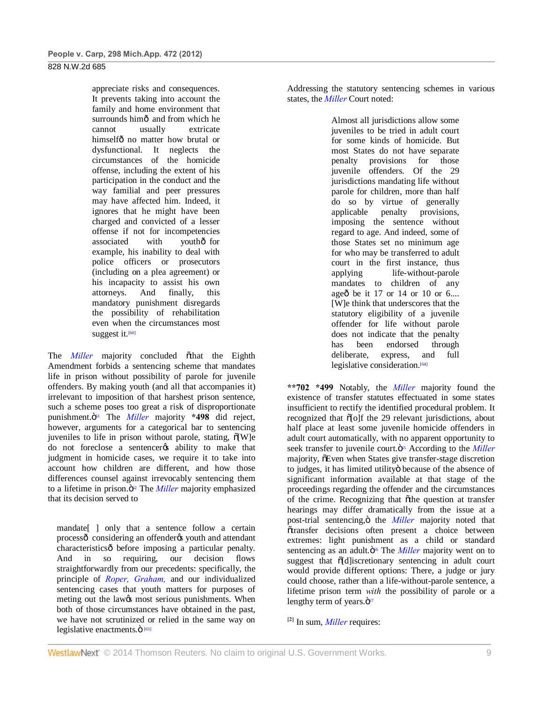appreciate risks and consequences. It prevents taking into account the family and home environment that surrounds himô and from which he cannot usually extricate himselfô no matter how brutal or dysfunctional. It neglects the circumstances of the homicide offense, including the extent of his participation in the conduct and the way familial and peer pressures may have affected him. Indeed, it ignores that he might have been charged and convicted of a lesser offense if not for incompetencies associated with youthô for example, his inability to deal with police officers or prosecutors (including on a plea agreement) or his incapacity to assist his own attorneys. And finally, this mandatory punishment disregards the possibility of rehabilitation even when the circumstances most suggest it.<sup>[60]</sup>

The *Miller* majority concluded othat the Eighth Amendment forbids a sentencing scheme that mandates life in prison without possibility of parole for juvenile offenders. By making youth (and all that accompanies it) irrelevant to imposition of that harshest prison sentence, such a scheme poses too great a risk of disproportionate punishment.ö<sup>61</sup> The *Miller* majority **\*498** did reject, however, arguments for a categorical bar to sentencing juveniles to life in prison without parole, stating,  $\delta$ [W]e do not foreclose a sentencer a ability to make that judgment in homicide cases, we require it to take into account how children are different, and how those differences counsel against irrevocably sentencing them to a lifetime in prison.<sup> $\ddot{\sigma}$ 2 The *Miller* majority emphasized</sup> that its decision served to

mandate[ ] only that a sentence follow a certain processô considering an offender to youth and attendant characteristicsô before imposing a particular penalty. And in so requiring, our decision flows straightforwardly from our precedents: specifically, the principle of *Roper, Graham,* and our individualized sentencing cases that youth matters for purposes of meting out the law is most serious punishments. When both of those circumstances have obtained in the past, we have not scrutinized or relied in the same way on legislative enactments.  $\ddot{\text{o}}$ <sup>[63]</sup>

Addressing the statutory sentencing schemes in various states, the *Miller* Court noted:

> Almost all jurisdictions allow some juveniles to be tried in adult court for some kinds of homicide. But most States do not have separate penalty provisions for those juvenile offenders. Of the 29 jurisdictions mandating life without parole for children, more than half do so by virtue of generally applicable penalty provisions, imposing the sentence without regard to age. And indeed, some of those States set no minimum age for who may be transferred to adult court in the first instance, thus applying life-without-parole mandates to children of any ageô be it 17 or 14 or 10 or 6.... [W]e think that underscores that the statutory eligibility of a juvenile offender for life without parole does not indicate that the penalty has been endorsed through deliberate, express, and full legislative consideration.<sup>[64]</sup>

**\*\*702 \*499** Notably, the *Miller* majority found the existence of transfer statutes effectuated in some states insufficient to rectify the identified procedural problem. It recognized that  $\tilde{o}$ [o]f the 29 relevant jurisdictions, about half place at least some juvenile homicide offenders in adult court automatically, with no apparent opportunity to seek transfer to juvenile court.<sup>"55</sup> According to the *Miller* majority,  $\delta$ Even when States give transfer-stage discretion to judges, it has limited utility because of the absence of significant information available at that stage of the proceedings regarding the offender and the circumstances of the crime. Recognizing that othe question at transfer hearings may differ dramatically from the issue at a post-trial sentencing, ö the *Miller* majority noted that õtransfer decisions often present a choice between extremes: light punishment as a child or standard sentencing as an adult.<sup>566</sup> The *Miller* majority went on to suggest that  $\tilde{o}$ [d]iscretionary sentencing in adult court would provide different options: There, a judge or jury could choose, rather than a life-without-parole sentence, a lifetime prison term *with* the possibility of parole or a lengthy term of years. $\ddot{\mathrm{o}}$ <sup>67</sup>

**[2]** In sum, *Miller* requires: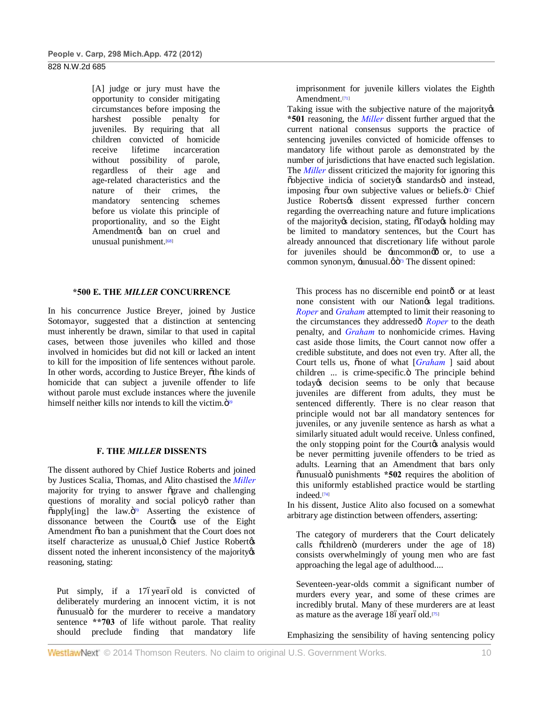[A] judge or jury must have the opportunity to consider mitigating circumstances before imposing the harshest possible penalty for juveniles. By requiring that all children convicted of homicide receive lifetime incarceration without possibility of parole, regardless of their age and age-related characteristics and the nature of their crimes, the mandatory sentencing schemes before us violate this principle of proportionality, and so the Eight Amendmentøs ban on cruel and unusual punishment.<sup>[68]</sup>

#### **\*500 E. THE** *MILLER* **CONCURRENCE**

In his concurrence Justice Breyer, joined by Justice Sotomayor, suggested that a distinction at sentencing must inherently be drawn, similar to that used in capital cases, between those juveniles who killed and those involved in homicides but did not kill or lacked an intent to kill for the imposition of life sentences without parole. In other words, according to Justice Breyer, othe kinds of homicide that can subject a juvenile offender to life without parole must exclude instances where the juvenile himself neither kills nor intends to kill the victim. $\ddot{\sigma}$ <sup>9</sup>

#### **F. THE** *MILLER* **DISSENTS**

The dissent authored by Chief Justice Roberts and joined by Justices Scalia, Thomas, and Alito chastised the *Miller* majority for trying to answer ograve and challenging questions of morality and social policy orather than  $\tilde{\alpha}$  apply[ing] the law. $\tilde{\sigma}$ <sup>70</sup> Asserting the existence of dissonance between the Courtos use of the Eight Amendment õto ban a punishment that the Court does not itself characterize as unusual, ö Chief Justice Robertøs dissent noted the inherent inconsistency of the majority  $\alpha$ reasoning, stating:

Put simply, if a 176year6old is convicted of deliberately murdering an innocent victim, it is not  $\tilde{v}$ unusualo for the murderer to receive a mandatory sentence **\*\*703** of life without parole. That reality should preclude finding that mandatory life

imprisonment for juvenile killers violates the Eighth Amendment.[71]

Taking issue with the subjective nature of the majority  $\alpha$ **\*501** reasoning, the *Miller* dissent further argued that the current national consensus supports the practice of sentencing juveniles convicted of homicide offenses to mandatory life without parole as demonstrated by the number of jurisdictions that have enacted such legislation. The *Miller* dissent criticized the majority for ignoring this õobjective indicia of society os standards ö and instead, imposing õour own subjective values or beliefs. ö<sup>72</sup> Chief Justice Robertsøs dissent expressed further concern regarding the overreaching nature and future implications of the majority os decision, stating,  $\delta$ Today os holding may be limited to mandatory sentences, but the Court has already announced that discretionary life without parole for juveniles should be  $\pm$ uncommon $\hat{\infty}$  or, to use a common synonym,  $\pm$ unusual. $\phi \ddot{\sigma}$ <sup>73</sup> The dissent opined:

This process has no discernible end pointô or at least none consistent with our Nation<sub>®</sub> legal traditions. *Roper* and *Graham* attempted to limit their reasoning to the circumstances they addressedô *Roper* to the death penalty, and *Graham* to nonhomicide crimes. Having cast aside those limits, the Court cannot now offer a credible substitute, and does not even try. After all, the Court tells us, onone of what [*Graham* ] said about children ... is crime-specific. $\ddot{o}$  The principle behind today's decision seems to be only that because juveniles are different from adults, they must be sentenced differently. There is no clear reason that principle would not bar all mandatory sentences for juveniles, or any juvenile sentence as harsh as what a similarly situated adult would receive. Unless confined, the only stopping point for the Courtes analysis would be never permitting juvenile offenders to be tried as adults. Learning that an Amendment that bars only  $\tilde{\text{v}}$  punishments \*502 requires the abolition of this uniformly established practice would be startling indeed.[74]

In his dissent, Justice Alito also focused on a somewhat arbitrary age distinction between offenders, asserting:

The category of murderers that the Court delicately calls  $\ddot{\text{o}}$ children $\ddot{\text{o}}$  (murderers under the age of 18) consists overwhelmingly of young men who are fast approaching the legal age of adulthood....

Seventeen-year-olds commit a significant number of murders every year, and some of these crimes are incredibly brutal. Many of these murderers are at least as mature as the average 18óyearóold.<sup>[75]</sup>

Emphasizing the sensibility of having sentencing policy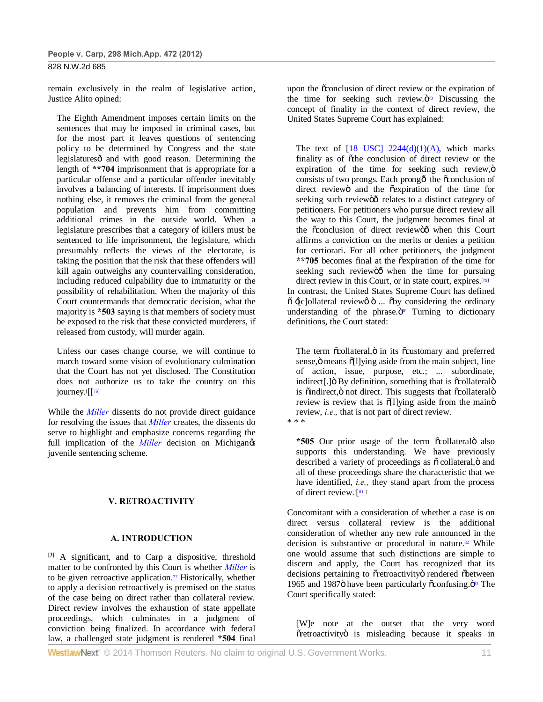remain exclusively in the realm of legislative action, Justice Alito opined:

The Eighth Amendment imposes certain limits on the sentences that may be imposed in criminal cases, but for the most part it leaves questions of sentencing policy to be determined by Congress and the state legislatures<sub>o</sub> and with good reason. Determining the length of **\*\*704** imprisonment that is appropriate for a particular offense and a particular offender inevitably involves a balancing of interests. If imprisonment does nothing else, it removes the criminal from the general population and prevents him from committing additional crimes in the outside world. When a legislature prescribes that a category of killers must be sentenced to life imprisonment, the legislature, which presumably reflects the views of the electorate, is taking the position that the risk that these offenders will kill again outweighs any countervailing consideration, including reduced culpability due to immaturity or the possibility of rehabilitation. When the majority of this Court countermands that democratic decision, what the majority is **\*503** saying is that members of society must be exposed to the risk that these convicted murderers, if released from custody, will murder again.

Unless our cases change course, we will continue to march toward some vision of evolutionary culmination that the Court has not yet disclosed. The Constitution does not authorize us to take the country on this journey.<sup>[[76]</sup>

While the *Miller* dissents do not provide direct guidance for resolving the issues that *Miller* creates, the dissents do serve to highlight and emphasize concerns regarding the full implication of the *Miller* decision on Michigan<sub>*C*s</sub> juvenile sentencing scheme.

#### **V. RETROACTIVITY**

#### **A. INTRODUCTION**

**[3]** A significant, and to Carp a dispositive, threshold matter to be confronted by this Court is whether *Miller* is to be given retroactive application.77 Historically, whether to apply a decision retroactively is premised on the status of the case being on direct rather than collateral review. Direct review involves the exhaustion of state appellate proceedings, which culminates in a judgment of conviction being finalized. In accordance with federal law, a challenged state judgment is rendered **\*504** final upon the  $\ddot{\text{o}}$  conclusion of direct review or the expiration of the time for seeking such review. $\ddot{\mathrm{o}}^{78}$  Discussing the concept of finality in the context of direct review, the United States Supreme Court has explained:

The text of  $[18 \text{ USC}]\ 2244(d)(1)(A)$ , which marks finality as of othe conclusion of direct review or the expiration of the time for seeking such review, ö consists of two prongs. Each prongô the õconclusion of direct reviewo and the oexpiration of the time for seeking such reviewöô relates to a distinct category of petitioners. For petitioners who pursue direct review all the way to this Court, the judgment becomes final at the oconclusion of direct reviewoo when this Court affirms a conviction on the merits or denies a petition for certiorari. For all other petitioners, the judgment \*\*705 becomes final at the  $\tilde{c}$  expiration of the time for seeking such review oo when the time for pursuing direct review in this Court, or in state court, expires.<sup>[79]</sup>

In contrast, the United States Supreme Court has defined  $\ddot{\text{o}}$  +  $c$  | c] ollateral review  $\ddot{\text{o}}$  ...  $\ddot{\text{o}}$  by considering the ordinary understanding of the phrase. $\ddot{\sigma}^{\circ}$  Turning to dictionary definitions, the Court stated:

The term  $\ddot{\text{o}}$ collateral, $\ddot{\text{o}}$  in its  $\ddot{\text{o}}$ customary and preferred sense, ö means õ[l]ying aside from the main subject, line of action, issue, purpose, etc.; ... subordinate, indirect<sup>[1]</sup> by definition, something that is  $\tilde{\alpha}$ collateralo is õindirect, ö not direct. This suggests that õcollateralö review is review that is  $\tilde{\rho}$ [l]ying aside from the main $\ddot{\rho}$ review, *i.e.,* that is not part of direct review.

\* \* \*

\*505 Our prior usage of the term  $\tilde{\text{co}}$  collateral  $\ddot{\text{o}}$  also supports this understanding. We have previously described a variety of proceedings as  $\tilde{o}$  collateral, $\ddot{o}$  and all of these proceedings share the characteristic that we have identified, *i.e.,* they stand apart from the process of direct review.<sup>[81]</sup>

Concomitant with a consideration of whether a case is on direct versus collateral review is the additional consideration of whether any new rule announced in the decision is substantive or procedural in nature.<sup>82</sup> While one would assume that such distinctions are simple to discern and apply, the Court has recognized that its decisions pertaining to oretroactivity rendered obetween 1965 and 1987 $\ddot{o}$  have been particularly  $\ddot{o}$  confusing. $\ddot{o}$ <sup>33</sup> The Court specifically stated:

[W]e note at the outset that the very word  $\tilde{c}$ retroactivity $\ddot{o}$  is misleading because it speaks in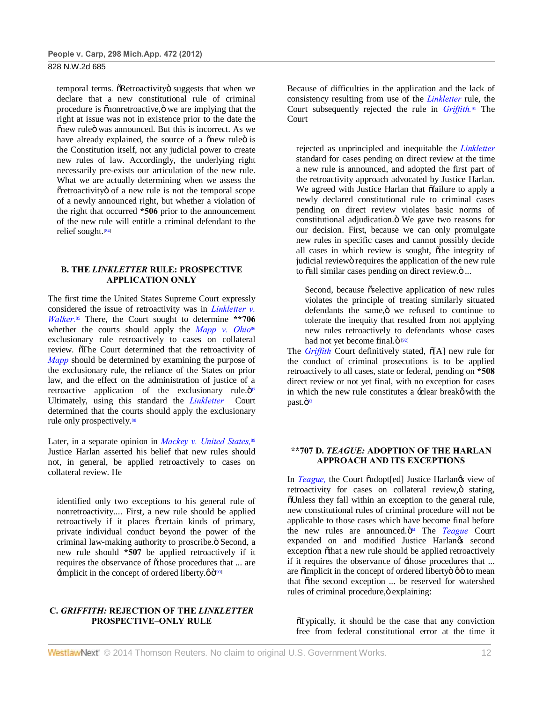temporal terms.  $\tilde{o}$ Retroactivityö suggests that when we declare that a new constitutional rule of criminal procedure is  $\ddot{\text{o}}$  nonretroactive, $\ddot{\text{o}}$  we are implying that the right at issue was not in existence prior to the date the  $\delta$  mew rule  $\ddot{o}$  was announced. But this is incorrect. As we have already explained, the source of a  $\delta$ new rule is the Constitution itself, not any judicial power to create new rules of law. Accordingly, the underlying right necessarily pre-exists our articulation of the new rule. What we are actually determining when we assess the õretroactivityö of a new rule is not the temporal scope of a newly announced right, but whether a violation of the right that occurred **\*506** prior to the announcement of the new rule will entitle a criminal defendant to the relief sought.[84]

## **B. THE** *LINKLETTER* **RULE: PROSPECTIVE APPLICATION ONLY**

The first time the United States Supreme Court expressly considered the issue of retroactivity was in *Linkletter v. Walker.*<sup>85</sup> There, the Court sought to determine **\*\*706** whether the courts should apply the *Mapp v. Ohio<sup>86</sup>* exclusionary rule retroactively to cases on collateral review. The Court determined that the retroactivity of *Mapp* should be determined by examining the purpose of the exclusionary rule, the reliance of the States on prior law, and the effect on the administration of justice of a retroactive application of the exclusionary rule. $\ddot{\sigma}^{\gamma}$ Ultimately, using this standard the *Linkletter* Court determined that the courts should apply the exclusionary rule only prospectively.<sup>88</sup>

Later, in a separate opinion in *Mackey v. United States,*<sup>89</sup> Justice Harlan asserted his belief that new rules should not, in general, be applied retroactively to cases on collateral review. He

identified only two exceptions to his general rule of nonretroactivity.... First, a new rule should be applied retroactively if it places ocertain kinds of primary, private individual conduct beyond the power of the criminal law-making authority to proscribe.  $\ddot{o}$  Second, a new rule should **\*507** be applied retroactively if it requires the observance of  $\tilde{o}$ those procedures that ... are  $\pm$ implicit in the concept of ordered liberty. $\emptyset$   $\emptyset^{\text{[90]}}$ 

## **C.** *GRIFFITH:* **REJECTION OF THE** *LINKLETTER* **PROSPECTIVE–ONLY RULE**

Because of difficulties in the application and the lack of consistency resulting from use of the *Linkletter* rule, the Court subsequently rejected the rule in *Griffith.*<sup>91</sup> The Court

rejected as unprincipled and inequitable the *Linkletter* standard for cases pending on direct review at the time a new rule is announced, and adopted the first part of the retroactivity approach advocated by Justice Harlan. We agreed with Justice Harlan that õfailure to apply a newly declared constitutional rule to criminal cases pending on direct review violates basic norms of constitutional adjudication. <sup>ö</sup> We gave two reasons for our decision. First, because we can only promulgate new rules in specific cases and cannot possibly decide all cases in which review is sought, othe integrity of judicial reviewö requires the application of the new rule to õall similar cases pending on direct review.  $\ddot{o}$  ...

Second, because  $\tilde{o}$  selective application of new rules violates the principle of treating similarly situated defendants the same, ö we refused to continue to tolerate the inequity that resulted from not applying new rules retroactively to defendants whose cases had not yet become final.  $\ddot{o}$  [92]

The *Griffith* Court definitively stated,  $\delta[A]$  new rule for the conduct of criminal prosecutions is to be applied retroactively to all cases, state or federal, pending on **\*508** direct review or not yet final, with no exception for cases in which the new rule constitutes a -clear breake with the  $past.\ddot{0}^{93}$ 

## **\*\*707 D.** *TEAGUE:* **ADOPTION OF THE HARLAN APPROACH AND ITS EXCEPTIONS**

In *Teague*, the Court õadopt[ed] Justice Harlangs view of retroactivity for cases on collateral review, ö stating,  $\ddot{\text{o}}$ Unless they fall within an exception to the general rule, new constitutional rules of criminal procedure will not be applicable to those cases which have become final before the new rules are announced.<sup> $\ddot{\sigma}$ 4 The *Teague* Court</sup> expanded on and modified Justice Harlangs second exception othat a new rule should be applied retroactively if it requires the observance of  $\pm$ hose procedures that ... are  $\ddot{\text{o}}$  implicit in the concept of ordered liberty $\ddot{\text{o}}$   $\ddot{\text{o}}$  to mean that othe second exception ... be reserved for watershed rules of criminal procedure, ö explaining:

"Typically, it should be the case that any conviction free from federal constitutional error at the time it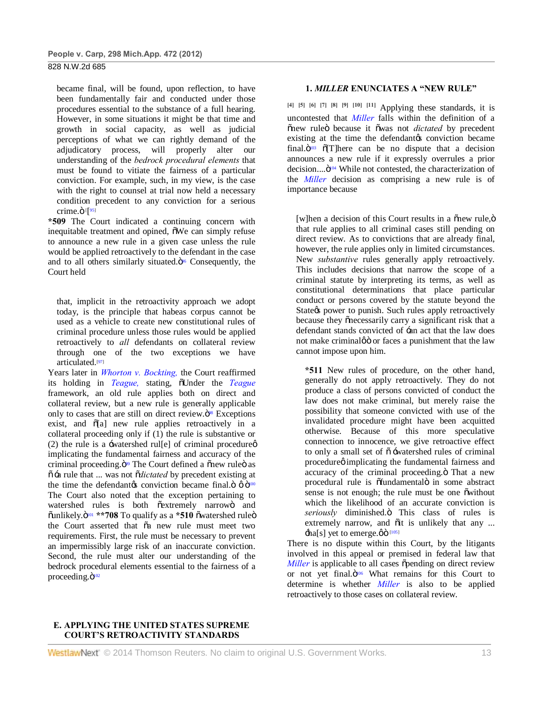became final, will be found, upon reflection, to have been fundamentally fair and conducted under those procedures essential to the substance of a full hearing. However, in some situations it might be that time and growth in social capacity, as well as judicial perceptions of what we can rightly demand of the adjudicatory process, will properly alter our understanding of the *bedrock procedural elements* that must be found to vitiate the fairness of a particular conviction. For example, such, in my view, is the case with the right to counsel at trial now held a necessary condition precedent to any conviction for a serious crime.ö<sup>[[95]</sup>

**\*509** The Court indicated a continuing concern with inequitable treatment and opined,  $\delta$ We can simply refuse to announce a new rule in a given case unless the rule would be applied retroactively to the defendant in the case and to all others similarly situated. $\ddot{\sigma}^6$  Consequently, the Court held

that, implicit in the retroactivity approach we adopt today, is the principle that habeas corpus cannot be used as a vehicle to create new constitutional rules of criminal procedure unless those rules would be applied retroactively to *all* defendants on collateral review through one of the two exceptions we have articulated.[97]

Years later in *Whorton v. Bockting,* the Court reaffirmed its holding in *Teague*, stating,  $\delta$ Under the *Teague* framework, an old rule applies both on direct and collateral review, but a new rule is generally applicable only to cases that are still on direct review.  $\ddot{o}$ <sup>88</sup> Exceptions exist, and  $\delta$ [a] new rule applies retroactively in a collateral proceeding only if (1) the rule is substantive or (2) the rule is a -watershed rul[e] of criminal procedure $\varphi$ implicating the fundamental fairness and accuracy of the criminal proceeding.  $\ddot{\sigma}$ <sup>99</sup> The Court defined a  $\ddot{\sigma}$ new rule as  $\ddot{\text{o}}$  a rule that ... was not  $\ddot{\text{o}}$  *dictated* by precedent existing at the time the defendant  $\infty$  conviction became final. $\ddot{\sigma}$  of  $\ddot{\sigma}$ <sup>100</sup> The Court also noted that the exception pertaining to watershed rules is both õextremely narrowö and  $\tilde{\text{o}}$ unlikely. $\ddot{\text{o}}$ <sup>101</sup> \*\*708 To qualify as a \*510  $\tilde{\text{o}}$ watershed ruleo the Court asserted that  $\tilde{o}a$  new rule must meet two requirements. First, the rule must be necessary to prevent an impermissibly large risk of an inaccurate conviction. Second, the rule must alter our understanding of the bedrock procedural elements essential to the fairness of a  $proceeding.  $\ddot{o}^{102}$$ 

## **1.** *MILLER* **ENUNCIATES A "NEW RULE"**

**[4] [5] [6] [7] [8] [9] [10] [11]** Applying these standards, it is uncontested that *Miller* falls within the definition of a  $\tilde{c}$  onew rule $\ddot{o}$  because it  $\tilde{c}$  was not *dictated* by precedent existing at the time the defendantos conviction became final. $\ddot{o}$ <sup>103</sup>  $\ddot{o}$ [T]here can be no dispute that a decision announces a new rule if it expressly overrules a prior decision.... $\ddot{o}$ <sup>104</sup> While not contested, the characterization of the *Miller* decision as comprising a new rule is of importance because

[w]hen a decision of this Court results in a onew rule, $\ddot{o}$ that rule applies to all criminal cases still pending on direct review. As to convictions that are already final, however, the rule applies only in limited circumstances. New *substantive* rules generally apply retroactively. This includes decisions that narrow the scope of a criminal statute by interpreting its terms, as well as constitutional determinations that place particular conduct or persons covered by the statute beyond the State $\alpha$  power to punish. Such rules apply retroactively because they onecessarily carry a significant risk that a defendant stands convicted of 'an act that the law does not make criminaløö or faces a punishment that the law cannot impose upon him.

**\*511** New rules of procedure, on the other hand, generally do not apply retroactively. They do not produce a class of persons convicted of conduct the law does not make criminal, but merely raise the possibility that someone convicted with use of the invalidated procedure might have been acquitted otherwise. Because of this more speculative connection to innocence, we give retroactive effect to only a small set of  $\tilde{o}$  -watershed rules of criminal procedure  $\phi$  implicating the fundamental fairness and accuracy of the criminal proceeding. $\ddot{o}$  That a new procedural rule is  $\delta$ fundamentalö in some abstract sense is not enough; the rule must be one ovithout which the likelihood of an accurate conviction is seriously diminished. This class of rules is extremely narrow, and  $\ddot{o}$  it is unlikely that any ...  $\pm$ ha[s] yet to emerge. $\emptyset$  $\emptyset$ <sup>[105]</sup>

There is no dispute within this Court, by the litigants involved in this appeal or premised in federal law that *Miller* is applicable to all cases *opending* on direct review or not yet final.  $\ddot{o}^{106}$  What remains for this Court to determine is whether *Miller* is also to be applied retroactively to those cases on collateral review.

## **E. APPLYING THE UNITED STATES SUPREME COURT'S RETROACTIVITY STANDARDS**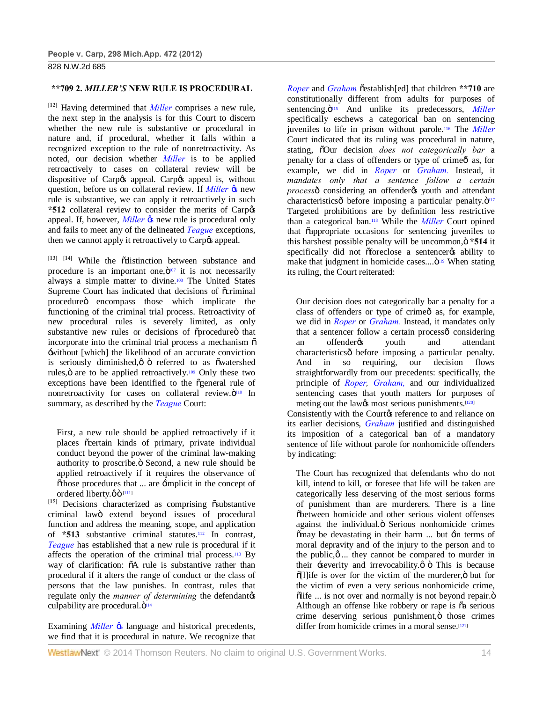## **\*\*709 2.** *MILLER'S* **NEW RULE IS PROCEDURAL**

**[12]** Having determined that *Miller* comprises a new rule, the next step in the analysis is for this Court to discern whether the new rule is substantive or procedural in nature and, if procedural, whether it falls within a recognized exception to the rule of nonretroactivity. As noted, our decision whether *Miller* is to be applied retroactively to cases on collateral review will be dispositive of Carpøs appeal. Carpøs appeal is, without question, before us on collateral review. If *Miller*  $\&$  new rule is substantive, we can apply it retroactively in such \*512 collateral review to consider the merits of Carpøs appeal. If, however, *Miller*  $\&$  new rule is procedural only and fails to meet any of the delineated *Teague* exceptions, then we cannot apply it retroactively to Carp $\alpha$  appeal.

**[13] [14]** While the "distinction between substance and procedure is an important one, $\ddot{o}^{107}$  it is not necessarily always a simple matter to divine.108 The United States Supreme Court has indicated that decisions of õcriminal procedure incompass those which implicate the functioning of the criminal trial process. Retroactivity of new procedural rules is severely limited, as only substantive new rules or decisions of  $\tilde{c}$  oprocedure that incorporate into the criminal trial process a mechanism  $\tilde{o}$ 'without [which] the likelihood of an accurate conviction is seriously diminished, $\phi$   $\ddot{\circ}$  referred to as  $\ddot{\circ}$  ovatershed rules, $\ddot{o}$  are to be applied retroactively.<sup>109</sup> Only these two exceptions have been identified to the ogeneral rule of nonretroactivity for cases on collateral review. $\ddot{o}^{110}$  In summary, as described by the *Teague* Court:

First, a new rule should be applied retroactively if it places õcertain kinds of primary, private individual conduct beyond the power of the criminal law-making authority to proscribe. " Second, a new rule should be applied retroactively if it requires the observance of  $\check{\text{o}}$ those procedures that ... are  $\check{\text{im}}$  implicit in the concept of ordered liberty. $\emptyset$   $\emptyset$ <sup>[111]</sup>

<sup>[15]</sup> Decisions characterized as comprising osubstantive criminal lawö extend beyond issues of procedural function and address the meaning, scope, and application of **\*513** substantive criminal statutes.112 In contrast, *Teague* has established that a new rule is procedural if it affects the operation of the criminal trial process.113 By way of clarification:  $\delta A$  rule is substantive rather than procedural if it alters the range of conduct or the class of persons that the law punishes. In contrast, rules that regulate only the *manner of determining* the defendant  $\phi$ culpability are procedural. $\ddot{o}^{114}$ 

Examining *Miller*  $\oint$  language and historical precedents, we find that it is procedural in nature. We recognize that

*Roper* and *Graham* õestablish[ed] that children \*\*710 are constitutionally different from adults for purposes of sentencing.<sup> $\ddot{o}^{115}$ </sup> And unlike its predecessors, *Miller* specifically eschews a categorical ban on sentencing juveniles to life in prison without parole.116 The *Miller* Court indicated that its ruling was procedural in nature, stating, "Our decision *does not categorically bar* a penalty for a class of offenders or type of crimeô as, for example, we did in *Roper* or *Graham.* Instead, it *mandates only that a sentence follow a certain process*ô considering an offender wouth and attendant characteristicsô before imposing a particular penalty.  $\ddot{o}^{117}$ Targeted prohibitions are by definition less restrictive than a categorical ban.118 While the *Miller* Court opined that  $\tilde{o}$ appropriate occasions for sentencing juveniles to this harshest possible penalty will be uncommon,  $\ddot{o}$  \*514 it specifically did not offoreclose a sentenceres ability to make that judgment in homicide cases.... $\ddot{o}^{19}$  When stating its ruling, the Court reiterated:

Our decision does not categorically bar a penalty for a class of offenders or type of crimeô as, for example, we did in *Roper* or *Graham.* Instead, it mandates only that a sentencer follow a certain processô considering an offender $\alpha$  youth and attendant characteristicsô before imposing a particular penalty. And in so requiring, our decision flows straightforwardly from our precedents: specifically, the principle of *Roper, Graham,* and our individualized sentencing cases that youth matters for purposes of meting out the law $\alpha$ s most serious punishments.<sup>[120]</sup>

Consistently with the Courtos reference to and reliance on its earlier decisions, *Graham* justified and distinguished its imposition of a categorical ban of a mandatory sentence of life without parole for nonhomicide offenders by indicating:

The Court has recognized that defendants who do not kill, intend to kill, or foresee that life will be taken are categorically less deserving of the most serious forms of punishment than are murderers. There is a line "between homicide and other serious violent offenses against the individual. Serious nonhomicide crimes  $\tilde{m}$  omay be devastating in their harm  $\ldots$  but  $\dot{m}$  terms of moral depravity and of the injury to the person and to the public,  $\phi$  ... they cannot be compared to murder in their  $\div$ severity and irrevocability. $\phi$   $\ddot{o}$  This is because  $[6]$ ] ife is over for the victim of the murderer, $\ddot{\text{o}}$  but for the victim of even a very serious nonhomicide crime,  $\delta$ life  $\ldots$  is not over and normally is not beyond repair. $\ddot{\delta}$ Although an offense like robbery or rape is  $\tilde{o}a$  serious crime deserving serious punishment, ö those crimes differ from homicide crimes in a moral sense.<sup>[121]</sup>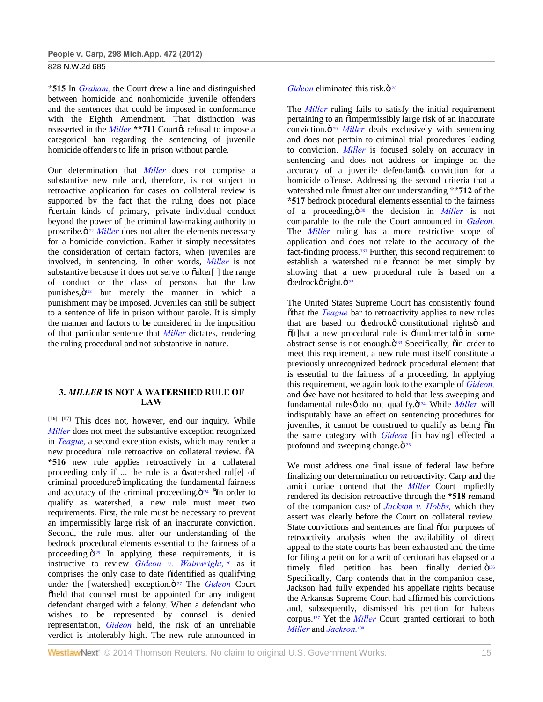**\*515** In *Graham,* the Court drew a line and distinguished between homicide and nonhomicide juvenile offenders and the sentences that could be imposed in conformance with the Eighth Amendment. That distinction was reasserted in the *Miller* \*\*711 Courtos refusal to impose a categorical ban regarding the sentencing of juvenile homicide offenders to life in prison without parole.

Our determination that *Miller* does not comprise a substantive new rule and, therefore, is not subject to retroactive application for cases on collateral review is supported by the fact that the ruling does not place õcertain kinds of primary, private individual conduct beyond the power of the criminal law-making authority to proscribe.<sup> $\ddot{o}^{122}$ </sup> *Miller* does not alter the elements necessary for a homicide conviction. Rather it simply necessitates the consideration of certain factors, when juveniles are involved, in sentencing. In other words, *Miller* is not substantive because it does not serve to  $\tilde{o}$ alter[] the range of conduct or the class of persons that the law punishes,  $\ddot{o}^{123}$  but merely the manner in which a punishment may be imposed. Juveniles can still be subject to a sentence of life in prison without parole. It is simply the manner and factors to be considered in the imposition of that particular sentence that *Miller* dictates, rendering the ruling procedural and not substantive in nature.

#### **3.** *MILLER* **IS NOT A WATERSHED RULE OF LAW**

**[16] [17]** This does not, however, end our inquiry. While *Miller* does not meet the substantive exception recognized in *Teague,* a second exception exists, which may render a new procedural rule retroactive on collateral review.  $\tilde{o}A$ **\*516** new rule applies retroactively in a collateral proceeding only if ... the rule is a -watershed rul[e] of criminal procedure o implicating the fundamental fairness and accuracy of the criminal proceeding. $\ddot{\sigma}$ <sup>124</sup>  $\ddot{\sigma}$ In order to qualify as watershed, a new rule must meet two requirements. First, the rule must be necessary to prevent an impermissibly large risk of an inaccurate conviction. Second, the rule must alter our understanding of the bedrock procedural elements essential to the fairness of a proceeding. $\ddot{o}^{125}$  In applying these requirements, it is instructive to review *Gideon v. Wainwright,*<sup>126</sup> as it comprises the only case to date oddentified as qualifying under the [watershed] exception.<sup>"27</sup> The *Gideon* Court  $\delta$ held that counsel must be appointed for any indigent defendant charged with a felony. When a defendant who wishes to be represented by counsel is denied representation, *Gideon* held, the risk of an unreliable verdict is intolerably high. The new rule announced in

*Gideon* eliminated this risk. $\ddot{o}^{128}$ 

The *Miller* ruling fails to satisfy the initial requirement pertaining to an  $\ddot{\text{o}}$  impermissibly large risk of an inaccurate conviction.<sup> $\ddot{o}^{129}$ </sup> *Miller* deals exclusively with sentencing and does not pertain to criminal trial procedures leading to conviction. *Miller* is focused solely on accuracy in sentencing and does not address or impinge on the accuracy of a juvenile defendant to conviction for a homicide offense. Addressing the second criteria that a watershed rule  $\tilde{\text{om}}$  alter our understanding \*\*712 of the **\*517** bedrock procedural elements essential to the fairness of a proceeding, $\ddot{o}^{130}$  the decision in *Miller* is not comparable to the rule the Court announced in *Gideon.* The *Miller* ruling has a more restrictive scope of application and does not relate to the accuracy of the fact-finding process.131 Further, this second requirement to establish a watershed rule  $\tilde{c}$  cannot be met simply by showing that a new procedural rule is based on a +bedrockøright. ö<sup>132</sup>

The United States Supreme Court has consistently found  $\ddot{\text{o}}$  that the *Teague* bar to retroactivity applies to new rules that are based on  $\pm$ bedrockø constitutional rightsö and  $\delta[t]$ hat a new procedural rule is  $\pm$ fundamental $\phi$  in some abstract sense is not enough. $\ddot{o}^{133}$  Specifically,  $\ddot{o}$  in order to meet this requirement, a new rule must itself constitute a previously unrecognized bedrock procedural element that is essential to the fairness of a proceeding. In applying this requirement, we again look to the example of *Gideon,* and 'we have not hesitated to hold that less sweeping and fundamental rules o do not qualify.  $\ddot{o}^{134}$  While *Miller* will indisputably have an effect on sentencing procedures for juveniles, it cannot be construed to qualify as being  $\ddot{\text{o}}$  in the same category with *Gideon* [in having] effected a profound and sweeping change. $\ddot{o}^{135}$ 

We must address one final issue of federal law before finalizing our determination on retroactivity. Carp and the amici curiae contend that the *Miller* Court impliedly rendered its decision retroactive through the **\*518** remand of the companion case of *Jackson v. Hobbs,* which they assert was clearly before the Court on collateral review. State convictions and sentences are final of for purposes of retroactivity analysis when the availability of direct appeal to the state courts has been exhausted and the time for filing a petition for a writ of certiorari has elapsed or a timely filed petition has been finally denied. $\ddot{o}^{136}$ Specifically, Carp contends that in the companion case, Jackson had fully expended his appellate rights because the Arkansas Supreme Court had affirmed his convictions and, subsequently, dismissed his petition for habeas corpus.137 Yet the *Miller* Court granted certiorari to both *Miller* and *Jackson.*<sup>138</sup>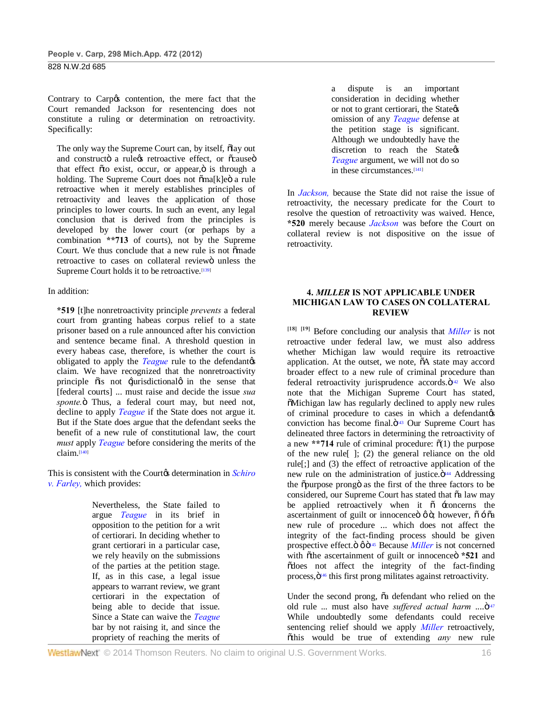Contrary to Carpos contention, the mere fact that the Court remanded Jackson for resentencing does not constitute a ruling or determination on retroactivity. Specifically:

The only way the Supreme Court can, by itself,  $\tilde{O}$  by out and constructö a rule $\alpha$  retroactive effect, or õcauseö that effect õto exist, occur, or appear,ö is through a holding. The Supreme Court does not  $\tilde{\text{om}}$ a rule retroactive when it merely establishes principles of retroactivity and leaves the application of those principles to lower courts. In such an event, any legal conclusion that is derived from the principles is developed by the lower court (or perhaps by a combination **\*\*713** of courts), not by the Supreme Court. We thus conclude that a new rule is not  $\tilde{\text{om}}$  ade retroactive to cases on collateral review inless the Supreme Court holds it to be retroactive.<sup>[139]</sup>

#### In addition:

**\*519** [t]he nonretroactivity principle *prevents* a federal court from granting habeas corpus relief to a state prisoner based on a rule announced after his conviction and sentence became final. A threshold question in every habeas case, therefore, is whether the court is obligated to apply the *Teague* rule to the defendantos claim. We have recognized that the nonretroactivity principle  $\tilde{\text{o}}$  is not  $\dot{\text{div}}$  in the sense that [federal courts] ... must raise and decide the issue *sua*  sponte.<sup>ö</sup> Thus, a federal court may, but need not, decline to apply *Teague* if the State does not argue it. But if the State does argue that the defendant seeks the benefit of a new rule of constitutional law, the court *must* apply *Teague* before considering the merits of the  $claim$ .<sup>[140]</sup>

This is consistent with the Courtos determination in *Schiro v. Farley,* which provides:

> Nevertheless, the State failed to argue *Teague* in its brief in opposition to the petition for a writ of certiorari. In deciding whether to grant certiorari in a particular case, we rely heavily on the submissions of the parties at the petition stage. If, as in this case, a legal issue appears to warrant review, we grant certiorari in the expectation of being able to decide that issue. Since a State can waive the *Teague* bar by not raising it, and since the propriety of reaching the merits of

a dispute is an important consideration in deciding whether or not to grant certiorari, the State $\alpha$ omission of any *Teague* defense at the petition stage is significant. Although we undoubtedly have the discretion to reach the State *Teague* argument, we will not do so in these circumstances.<sup>[141]</sup>

In *Jackson,* because the State did not raise the issue of retroactivity, the necessary predicate for the Court to resolve the question of retroactivity was waived. Hence, **\*520** merely because *Jackson* was before the Court on collateral review is not dispositive on the issue of retroactivity.

## **4.** *MILLER* **IS NOT APPLICABLE UNDER MICHIGAN LAW TO CASES ON COLLATERAL REVIEW**

**[18] [19]** Before concluding our analysis that *Miller* is not retroactive under federal law, we must also address whether Michigan law would require its retroactive application. At the outset, we note,  $\tilde{o}A$  state may accord broader effect to a new rule of criminal procedure than federal retroactivity jurisprudence accords. $\ddot{o}^{142}$  We also note that the Michigan Supreme Court has stated,  $\delta$ Michigan law has regularly declined to apply new rules of criminal procedure to cases in which a defendantos conviction has become final. $\ddot{o}^{143}$  Our Supreme Court has delineated three factors in determining the retroactivity of a new \*\*714 rule of criminal procedure:  $\tilde{o}(1)$  the purpose of the new rule[ ]; (2) the general reliance on the old rule[;] and (3) the effect of retroactive application of the new rule on the administration of justice. $\ddot{\mathrm{o}}$ <sup>144</sup> Addressing the õpurpose prongö as the first of the three factors to be considered, our Supreme Court has stated that  $\tilde{a}$  law may be applied retroactively when it  $\tilde{o}$  -concerns the ascertainment of guilt or innocence  $\phi$  o  $\ddot{\circ}$ ; however,  $\ddot{\circ}$  +  $\ddot{\circ}$  a new rule of procedure ... which does not affect the integrity of the fact-finding process should be given prospective effect.  $\ddot{\text{o}}$   $\ddot{\text{o}}$ <sup>145</sup> Because *Miller* is not concerned with othe ascertainment of guilt or innocence  $*521$  and  $\tilde{o}$  does not affect the integrity of the fact-finding process, $\ddot{o}^{146}$  this first prong militates against retroactivity.

Under the second prong,  $\tilde{\alpha}$  defendant who relied on the old rule ... must also have *suffered actual harm* ....  $\ddot{o}^{147}$ While undoubtedly some defendants could receive sentencing relief should we apply *Miller* retroactively, õthis would be true of extending *any* new rule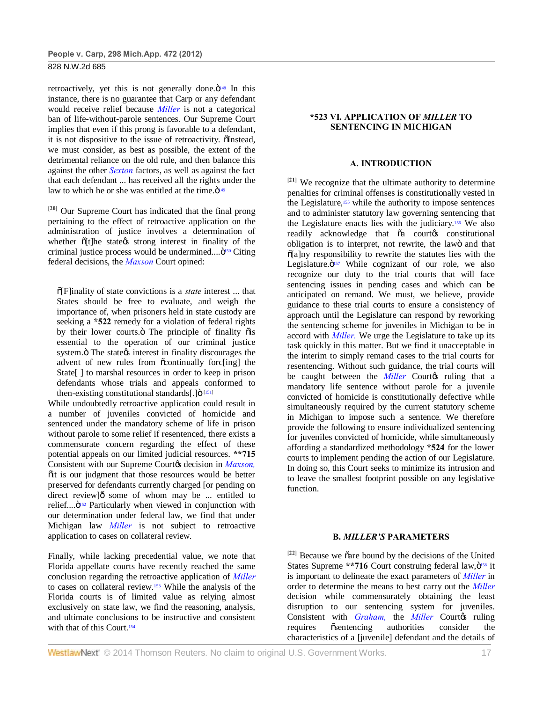retroactively, yet this is not generally done. $\ddot{o}^{148}$  In this instance, there is no guarantee that Carp or any defendant would receive relief because *Miller* is not a categorical ban of life-without-parole sentences. Our Supreme Court implies that even if this prong is favorable to a defendant, it is not dispositive to the issue of retroactivity.  $\delta$ Instead, we must consider, as best as possible, the extent of the detrimental reliance on the old rule, and then balance this against the other *Sexton* factors, as well as against the fact that each defendant ... has received all the rights under the law to which he or she was entitled at the time. $\ddot{o}^{149}$ 

**[20]** Our Supreme Court has indicated that the final prong pertaining to the effect of retroactive application on the administration of justice involves a determination of whether  $\tilde{o}[t]$ he state $\alpha$ s strong interest in finality of the criminal justice process would be undermined.... $\ddot{o}^{150}$  Citing federal decisions, the *Maxson* Court opined:

 $\tilde{O}$ [F]inality of state convictions is a *state* interest ... that States should be free to evaluate, and weigh the importance of, when prisoners held in state custody are seeking a **\*522** remedy for a violation of federal rights by their lower courts.<sup>"</sup> The principle of finality os essential to the operation of our criminal justice system. " The state interest in finality discourages the advent of new rules from  $\ddot{\text{o}}$  continually forcling the State[] to marshal resources in order to keep in prison defendants whose trials and appeals conformed to then-existing constitutional standards $[.]$   $\ddot{o}$ <sup>[151]</sup>

While undoubtedly retroactive application could result in a number of juveniles convicted of homicide and sentenced under the mandatory scheme of life in prison without parole to some relief if resentenced, there exists a commensurate concern regarding the effect of these potential appeals on our limited judicial resources. **\*\*715** Consistent with our Supreme Courtes decision in *Maxson*,  $\ddot{\text{o}}$  it is our judgment that those resources would be better preserved for defendants currently charged [or pending on direct review] $\hat{0}$  some of whom may be ... entitled to relief.... $\ddot{o}^{152}$  Particularly when viewed in conjunction with our determination under federal law, we find that under Michigan law *Miller* is not subject to retroactive application to cases on collateral review.

Finally, while lacking precedential value, we note that Florida appellate courts have recently reached the same conclusion regarding the retroactive application of *Miller* to cases on collateral review.153 While the analysis of the Florida courts is of limited value as relying almost exclusively on state law, we find the reasoning, analysis, and ultimate conclusions to be instructive and consistent with that of this Court.<sup>154</sup>

## **\*523 VI. APPLICATION OF** *MILLER* **TO SENTENCING IN MICHIGAN**

#### **A. INTRODUCTION**

**[21]** We recognize that the ultimate authority to determine penalties for criminal offenses is constitutionally vested in the Legislature,<sup>155</sup> while the authority to impose sentences and to administer statutory law governing sentencing that the Legislature enacts lies with the judiciary.156 We also readily acknowledge that  $\tilde{a}$  courtos constitutional obligation is to interpret, not rewrite, the lawö and that  $\delta$ [a]ny responsibility to rewrite the statutes lies with the Legislature. $\ddot{o}^{157}$  While cognizant of our role, we also recognize our duty to the trial courts that will face sentencing issues in pending cases and which can be anticipated on remand. We must, we believe, provide guidance to these trial courts to ensure a consistency of approach until the Legislature can respond by reworking the sentencing scheme for juveniles in Michigan to be in accord with *Miller.* We urge the Legislature to take up its task quickly in this matter. But we find it unacceptable in the interim to simply remand cases to the trial courts for resentencing. Without such guidance, the trial courts will be caught between the *Miller* Courtes ruling that a mandatory life sentence without parole for a juvenile convicted of homicide is constitutionally defective while simultaneously required by the current statutory scheme in Michigan to impose such a sentence. We therefore provide the following to ensure individualized sentencing for juveniles convicted of homicide, while simultaneously affording a standardized methodology **\*524** for the lower courts to implement pending the action of our Legislature. In doing so, this Court seeks to minimize its intrusion and to leave the smallest footprint possible on any legislative function.

#### **B.** *MILLER'S* **PARAMETERS**

 $[22]$  Because we õare bound by the decisions of the United States Supreme \*\*716 Court construing federal law,  $\ddot{o}$ <sup>158</sup> it is important to delineate the exact parameters of *Miller* in order to determine the means to best carry out the *Miller* decision while commensurately obtaining the least disruption to our sentencing system for juveniles. Consistent with *Graham*, the *Miller* Courtos ruling requires  $\tilde{o}$  sentencing authorities consider the characteristics of a [juvenile] defendant and the details of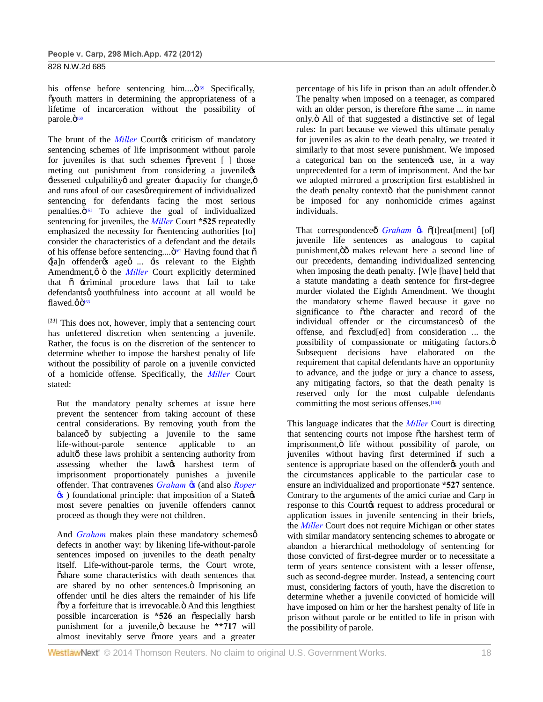his offense before sentencing him.... $\ddot{o}^{159}$  Specifically,  $\tilde{\text{o}}$ youth matters in determining the appropriateness of a lifetime of incarceration without the possibility of parole.  $\ddot{o}$ <sup>160</sup>

The brunt of the *Miller* Courtos criticism of mandatory sentencing schemes of life imprisonment without parole for juveniles is that such schemes oprevent [ ] those meting out punishment from considering a juvenilegs  $\exists$ essened culpability and greater  $\exists$ capacity for change,  $\emptyset$ and runs afoul of our casesø requirement of individualized sentencing for defendants facing the most serious penalties.  $\ddot{o}$ <sup>161</sup> To achieve the goal of individualized sentencing for juveniles, the *Miller* Court **\*525** repeatedly emphasized the necessity for  $\ddot{\text{o}}$  sentencing authorities [to] consider the characteristics of a defendant and the details of his offense before sentencing.... $\ddot{o}$ <sup>162</sup> Having found that  $\ddot{o}$  $\pm$ [a]n offender $\alpha$  age $\phi$  ...  $\pm$ s relevant to the Eighth Amendment,ø ö the *Miller* Court explicitly determined that  $\tilde{o}$  -criminal procedure laws that fail to take defendantsø youthfulness into account at all would be flawed. $\emptyset$   $\ddot{\theta}$ <sup>163</sup>

**[23]** This does not, however, imply that a sentencing court has unfettered discretion when sentencing a juvenile. Rather, the focus is on the discretion of the sentencer to determine whether to impose the harshest penalty of life without the possibility of parole on a juvenile convicted of a homicide offense. Specifically, the *Miller* Court stated:

But the mandatory penalty schemes at issue here prevent the sentencer from taking account of these central considerations. By removing youth from the balanceô by subjecting a juvenile to the same life-without-parole sentence applicable to an adultô these laws prohibit a sentencing authority from assessing whether the law $\alpha$  harshest term of imprisonment proportionately punishes a juvenile offender. That contravenes *Graham* 's (and also *Roper*   $\circ$  ) foundational principle: that imposition of a State $\circ$ most severe penalties on juvenile offenders cannot proceed as though they were not children.

And *Graham* makes plain these mandatory schemesø defects in another way: by likening life-without-parole sentences imposed on juveniles to the death penalty itself. Life-without-parole terms, the Court wrote,  $\tilde{c}$  oshare some characteristics with death sentences that are shared by no other sentences.<sup>"</sup> Imprisoning an offender until he dies alters the remainder of his life  $\delta$ by a forfeiture that is irrevocable. $\ddot{o}$  And this lengthiest possible incarceration is **\*526** an  $\tilde{\text{e}}$  especially harsh punishment for a juvenile, ö because he \*\*717 will almost inevitably serve  $\tilde{o}$ more years and a greater

percentage of his life in prison than an adult offender. $\ddot{o}$ The penalty when imposed on a teenager, as compared with an older person, is therefore othe same ... in name only." All of that suggested a distinctive set of legal rules: In part because we viewed this ultimate penalty for juveniles as akin to the death penalty, we treated it similarly to that most severe punishment. We imposed a categorical ban on the sentence was use, in a way unprecedented for a term of imprisonment. And the bar we adopted mirrored a proscription first established in the death penalty contextô that the punishment cannot be imposed for any nonhomicide crimes against individuals.

That correspondenceô *Graham*  $\&$   $\tilde{\text{o}}$ [t]reat[ment] [of] juvenile life sentences as analogous to capital punishment, ö makes relevant here a second line of our precedents, demanding individualized sentencing when imposing the death penalty. [W]e [have] held that a statute mandating a death sentence for first-degree murder violated the Eighth Amendment. We thought the mandatory scheme flawed because it gave no significance to o<sup>s</sup> the character and record of the individual offender or the circumstances of the offense, and  $\tilde{\text{o}}$ exclud[ed] from consideration ... the possibility of compassionate or mitigating factors. $\ddot{o}$ Subsequent decisions have elaborated on the requirement that capital defendants have an opportunity to advance, and the judge or jury a chance to assess, any mitigating factors, so that the death penalty is reserved only for the most culpable defendants committing the most serious offenses.<sup>[164]</sup>

This language indicates that the *Miller* Court is directing that sentencing courts not impose othe harshest term of imprisonment, ö life without possibility of parole, on juveniles without having first determined if such a sentence is appropriate based on the offender to youth and the circumstances applicable to the particular case to ensure an individualized and proportionate **\*527** sentence. Contrary to the arguments of the amici curiae and Carp in response to this Courtos request to address procedural or application issues in juvenile sentencing in their briefs, the *Miller* Court does not require Michigan or other states with similar mandatory sentencing schemes to abrogate or abandon a hierarchical methodology of sentencing for those convicted of first-degree murder or to necessitate a term of years sentence consistent with a lesser offense, such as second-degree murder. Instead, a sentencing court must, considering factors of youth, have the discretion to determine whether a juvenile convicted of homicide will have imposed on him or her the harshest penalty of life in prison without parole or be entitled to life in prison with the possibility of parole.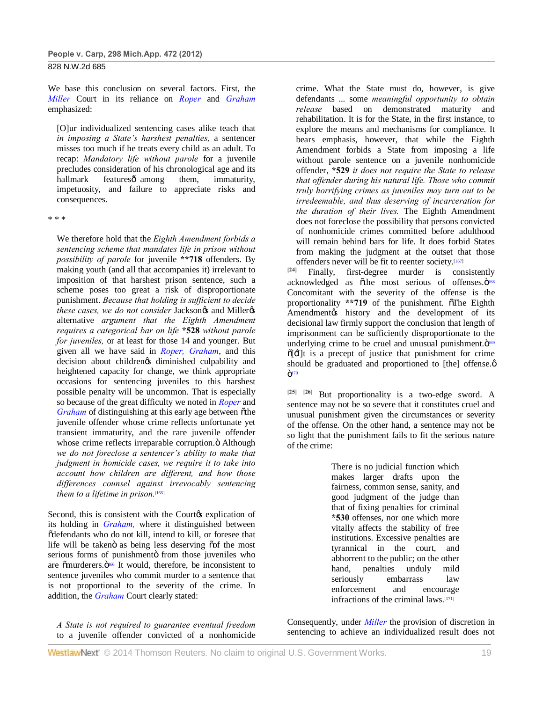We base this conclusion on several factors. First, the *Miller* Court in its reliance on *Roper* and *Graham* emphasized:

[O]ur individualized sentencing cases alike teach that *in imposing a State's harshest penalties,* a sentencer misses too much if he treats every child as an adult. To recap: *Mandatory life without parole* for a juvenile precludes consideration of his chronological age and its hallmark featuresô among them, immaturity, impetuosity, and failure to appreciate risks and consequences.

\* \* \*

We therefore hold that the *Eighth Amendment forbids a sentencing scheme that mandates life in prison without possibility of parole* for juvenile **\*\*718** offenders. By making youth (and all that accompanies it) irrelevant to imposition of that harshest prison sentence, such a scheme poses too great a risk of disproportionate punishment. *Because that holding is sufficient to decide these cases, we do not consider* Jacksongs and Millergs alternative *argument that the Eighth Amendment requires a categorical bar on life* **\*528** *without parole for juveniles,* or at least for those 14 and younger. But given all we have said in *Roper, Graham*, and this decision about childrengs diminished culpability and heightened capacity for change, we think appropriate occasions for sentencing juveniles to this harshest possible penalty will be uncommon. That is especially so because of the great difficulty we noted in *Roper* and *Graham* of distinguishing at this early age between other juvenile offender whose crime reflects unfortunate yet transient immaturity, and the rare juvenile offender whose crime reflects irreparable corruption. Ö Although *we do not foreclose a sentencer's ability to make that judgment in homicide cases, we require it to take into account how children are different, and how those differences counsel against irrevocably sentencing*  them to a lifetime in prison.<sup>[165]</sup>

Second, this is consistent with the Courtos explication of its holding in *Graham,* where it distinguished between "defendants who do not kill, intend to kill, or foresee that life will be takenö as being less deserving oof the most serious forms of punishment from those juveniles who are  $\delta$ murderers. $\ddot{\sigma}^{166}$  It would, therefore, be inconsistent to sentence juveniles who commit murder to a sentence that is not proportional to the severity of the crime. In addition, the *Graham* Court clearly stated:

*A State is not required to guarantee eventual freedom* to a juvenile offender convicted of a nonhomicide

crime. What the State must do, however, is give defendants ... some *meaningful opportunity to obtain release* based on demonstrated maturity and rehabilitation. It is for the State, in the first instance, to explore the means and mechanisms for compliance. It bears emphasis, however, that while the Eighth Amendment forbids a State from imposing a life without parole sentence on a juvenile nonhomicide offender, **\*529** *it does not require the State to release that offender during his natural life. Those who commit truly horrifying crimes as juveniles may turn out to be irredeemable, and thus deserving of incarceration for the duration of their lives.* The Eighth Amendment does not foreclose the possibility that persons convicted of nonhomicide crimes committed before adulthood will remain behind bars for life. It does forbid States from making the judgment at the outset that those offenders never will be fit to reenter society.<sup>[167]</sup>

Finally, first-degree murder is consistently acknowledged as othe most serious of offenses.  $\ddot{o}^{168}$ Concomitant with the severity of the offense is the proportionality \*\*719 of the punishment.  $\delta$ The Eighth Amendmentos history and the development of its decisional law firmly support the conclusion that length of imprisonment can be sufficiently disproportionate to the underlying crime to be cruel and unusual punishment. $\ddot{\mathrm{o}}^{169}$  $[6]$ -Ilt is a precept of justice that punishment for crime should be graduated and proportioned to [the] offense. $\varphi$  $\ddot{O}^{170}$ 

**[25] [26]** But proportionality is a two-edge sword. A sentence may not be so severe that it constitutes cruel and unusual punishment given the circumstances or severity of the offense. On the other hand, a sentence may not be so light that the punishment fails to fit the serious nature of the crime:

> There is no judicial function which makes larger drafts upon the fairness, common sense, sanity, and good judgment of the judge than that of fixing penalties for criminal **\*530** offenses, nor one which more vitally affects the stability of free institutions. Excessive penalties are tyrannical in the court, and abhorrent to the public; on the other hand, penalties unduly mild seriously embarrass law enforcement and encourage infractions of the criminal laws.[171]

Consequently, under *Miller* the provision of discretion in sentencing to achieve an individualized result does not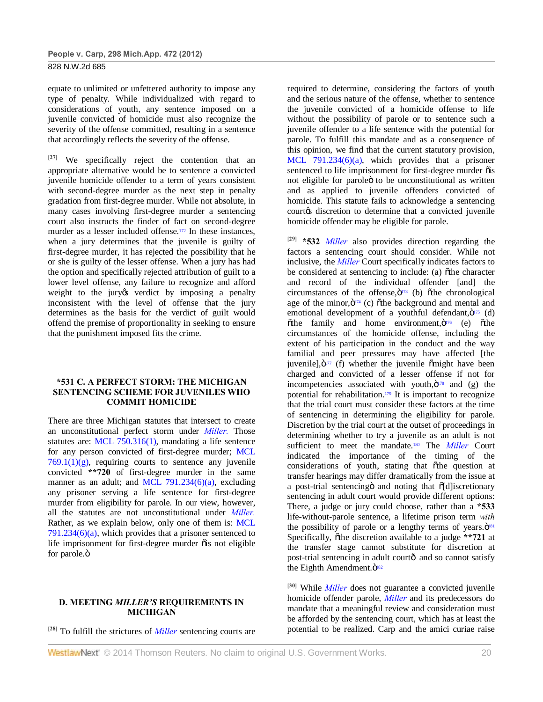equate to unlimited or unfettered authority to impose any type of penalty. While individualized with regard to considerations of youth, any sentence imposed on a juvenile convicted of homicide must also recognize the severity of the offense committed, resulting in a sentence that accordingly reflects the severity of the offense.

**[27]** We specifically reject the contention that an appropriate alternative would be to sentence a convicted juvenile homicide offender to a term of years consistent with second-degree murder as the next step in penalty gradation from first-degree murder. While not absolute, in many cases involving first-degree murder a sentencing court also instructs the finder of fact on second-degree murder as a lesser included offense.<sup>172</sup> In these instances, when a jury determines that the juvenile is guilty of first-degree murder, it has rejected the possibility that he or she is guilty of the lesser offense. When a jury has had the option and specifically rejected attribution of guilt to a lower level offense, any failure to recognize and afford weight to the jury os verdict by imposing a penalty inconsistent with the level of offense that the jury determines as the basis for the verdict of guilt would offend the premise of proportionality in seeking to ensure that the punishment imposed fits the crime.

#### **\*531 C. A PERFECT STORM: THE MICHIGAN SENTENCING SCHEME FOR JUVENILES WHO COMMIT HOMICIDE**

There are three Michigan statutes that intersect to create an unconstitutional perfect storm under *Miller.* Those statutes are: MCL 750.316(1), mandating a life sentence for any person convicted of first-degree murder; MCL  $769.1(1)(g)$ , requiring courts to sentence any juvenile convicted **\*\*720** of first-degree murder in the same manner as an adult; and MCL 791.234(6)(a), excluding any prisoner serving a life sentence for first-degree murder from eligibility for parole. In our view, however, all the statutes are not unconstitutional under *Miller.* Rather, as we explain below, only one of them is: MCL  $791.234(6)(a)$ , which provides that a prisoner sentenced to life imprisonment for first-degree murder  $\tilde{o}$  is not eligible for parole. $\ddot{o}$ 

#### **D. MEETING** *MILLER'S* **REQUIREMENTS IN MICHIGAN**

**[28]** To fulfill the strictures of *Miller* sentencing courts are

required to determine, considering the factors of youth and the serious nature of the offense, whether to sentence the juvenile convicted of a homicide offense to life without the possibility of parole or to sentence such a juvenile offender to a life sentence with the potential for parole. To fulfill this mandate and as a consequence of this opinion, we find that the current statutory provision, MCL  $791.234(6)(a)$ , which provides that a prisoner sentenced to life imprisonment for first-degree murder  $\tilde{o}$ is not eligible for paroleö to be unconstitutional as written and as applied to juvenile offenders convicted of homicide. This statute fails to acknowledge a sentencing courto discretion to determine that a convicted juvenile homicide offender may be eligible for parole.

**[29] \*532** *Miller* also provides direction regarding the factors a sentencing court should consider. While not inclusive, the *Miller* Court specifically indicates factors to be considered at sentencing to include: (a) othe character and record of the individual offender [and] the circumstances of the offense, $\ddot{o}^{173}$  (b) othe chronological age of the minor, $\ddot{o}^{174}$  (c) othe background and mental and emotional development of a youthful defendant, $\ddot{o}^{175}$  (d)  $\tilde{\sigma}$  othe family and home environment, $\tilde{\sigma}^{176}$  (e)  $\tilde{\sigma}$  the circumstances of the homicide offense, including the extent of his participation in the conduct and the way familial and peer pressures may have affected [the juvenile], $\ddot{o}^{177}$  (f) whether the juvenile  $\ddot{o}$  might have been charged and convicted of a lesser offense if not for incompetencies associated with youth, $\ddot{\mathrm{o}}^{178}$  and (g) the potential for rehabilitation.179 It is important to recognize that the trial court must consider these factors at the time of sentencing in determining the eligibility for parole. Discretion by the trial court at the outset of proceedings in determining whether to try a juvenile as an adult is not sufficient to meet the mandate.180 The *Miller* Court indicated the importance of the timing of the considerations of youth, stating that othe question at transfer hearings may differ dramatically from the issue at a post-trial sentencing i and noting that  $\delta$ [d] iscretionary sentencing in adult court would provide different options: There, a judge or jury could choose, rather than a **\*533** life-without-parole sentence, a lifetime prison term *with* the possibility of parole or a lengthy terms of years. $\ddot{o}^{181}$ Specifically, othe discretion available to a judge \*\*721 at the transfer stage cannot substitute for discretion at post-trial sentencing in adult courtô and so cannot satisfy the Eighth Amendment. $\ddot{\mathrm{o}}^{182}$ 

**[30]** While *Miller* does not guarantee a convicted juvenile homicide offender parole, *Miller* and its predecessors do mandate that a meaningful review and consideration must be afforded by the sentencing court, which has at least the potential to be realized. Carp and the amici curiae raise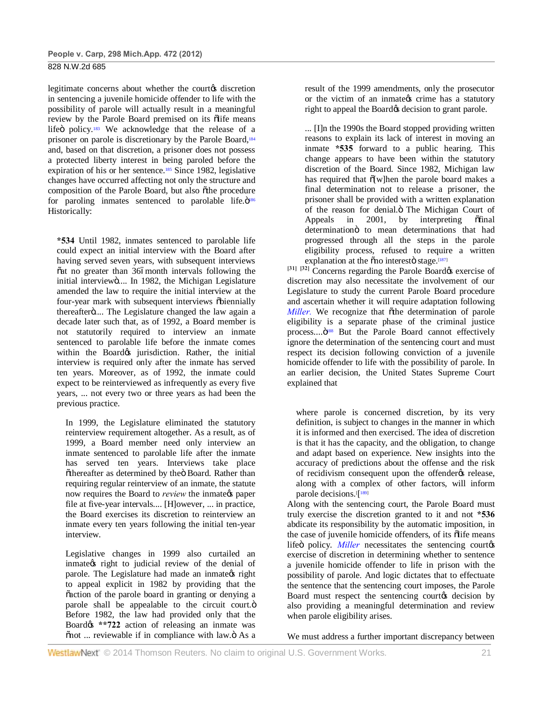legitimate concerns about whether the courtes discretion in sentencing a juvenile homicide offender to life with the possibility of parole will actually result in a meaningful review by the Parole Board premised on its olife means lifeö policy.<sup>183</sup> We acknowledge that the release of a prisoner on parole is discretionary by the Parole Board,<sup>184</sup> and, based on that discretion, a prisoner does not possess a protected liberty interest in being paroled before the expiration of his or her sentence.185 Since 1982, legislative changes have occurred affecting not only the structure and composition of the Parole Board, but also othe procedure for paroling inmates sentenced to parolable life. $\ddot{o}^{186}$ Historically:

**\*534** Until 1982, inmates sentenced to parolable life could expect an initial interview with the Board after having served seven years, with subsequent interviews  $\tilde{a}$  at no greater than 366 month intervals following the initial interviewö.... In 1982, the Michigan Legislature amended the law to require the initial interview at the four-year mark with subsequent interviews obiennially thereafterö.... The Legislature changed the law again a decade later such that, as of 1992, a Board member is not statutorily required to interview an inmate sentenced to parolable life before the inmate comes within the Board *t* jurisdiction. Rather, the initial interview is required only after the inmate has served ten years. Moreover, as of 1992, the inmate could expect to be reinterviewed as infrequently as every five years, ... not every two or three years as had been the previous practice.

In 1999, the Legislature eliminated the statutory reinterview requirement altogether. As a result, as of 1999, a Board member need only interview an inmate sentenced to parolable life after the inmate has served ten years. Interviews take place öthereafter as determined by theö Board. Rather than requiring regular reinterview of an inmate, the statute now requires the Board to *review* the inmate *paper* file at five-year intervals.... [H]owever, ... in practice, the Board exercises its discretion to reinterview an inmate every ten years following the initial ten-year interview.

Legislative changes in 1999 also curtailed an inmate *i*s right to judicial review of the denial of parole. The Legislature had made an inmate  $\alpha$  right to appeal explicit in 1982 by providing that the  $\tilde{c}$  action of the parole board in granting or denying a parole shall be appealable to the circuit court.<sup>"</sup> Before 1982, the law had provided only that the Board<sub> $\circ$ </sub> \*\*722 action of releasing an inmate was  $\tilde{c}$  onot ... reviewable if in compliance with law. $\ddot{o}$  As a

result of the 1999 amendments, only the prosecutor or the victim of an inmate os crime has a statutory right to appeal the Board to decision to grant parole.

... [I]n the 1990s the Board stopped providing written reasons to explain its lack of interest in moving an inmate **\*535** forward to a public hearing. This change appears to have been within the statutory discretion of the Board. Since 1982, Michigan law has required that  $\tilde{o}[w]$ hen the parole board makes a final determination not to release a prisoner, the prisoner shall be provided with a written explanation of the reason for denial. The Michigan Court of Appeals in  $2001$ , by interpreting  $\delta$ final determinationö to mean determinations that had progressed through all the steps in the parole eligibility process, refused to require a written explanation at the  $\tilde{p}$  on interest  $\tilde{p}$  stage.<sup>[187]</sup>

<sup>[31]</sup> <sup>[32]</sup> Concerns regarding the Parole Board<sup>®</sup> exercise of discretion may also necessitate the involvement of our Legislature to study the current Parole Board procedure and ascertain whether it will require adaptation following *Miller.* We recognize that othe determination of parole eligibility is a separate phase of the criminal justice process.... $\ddot{o}$ <sup>188</sup> But the Parole Board cannot effectively ignore the determination of the sentencing court and must respect its decision following conviction of a juvenile homicide offender to life with the possibility of parole. In an earlier decision, the United States Supreme Court explained that

where parole is concerned discretion, by its very definition, is subject to changes in the manner in which it is informed and then exercised. The idea of discretion is that it has the capacity, and the obligation, to change and adapt based on experience. New insights into the accuracy of predictions about the offense and the risk of recidivism consequent upon the offender $\alpha$ s release, along with a complex of other factors, will inform parole decisions.<sup>[[189]</sup>

Along with the sentencing court, the Parole Board must truly exercise the discretion granted to it and not **\*536** abdicate its responsibility by the automatic imposition, in the case of juvenile homicide offenders, of its õlife means lifeö policy. *Miller* necessitates the sentencing courtos exercise of discretion in determining whether to sentence a juvenile homicide offender to life in prison with the possibility of parole. And logic dictates that to effectuate the sentence that the sentencing court imposes, the Parole Board must respect the sentencing courte decision by also providing a meaningful determination and review when parole eligibility arises.

We must address a further important discrepancy between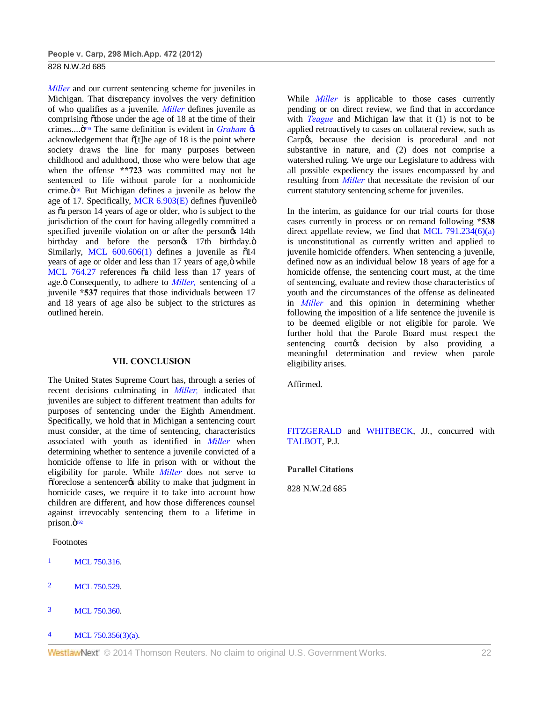*Miller* and our current sentencing scheme for juveniles in Michigan. That discrepancy involves the very definition of who qualifies as a juvenile. *Miller* defines juvenile as comprising othose under the age of 18 at the time of their crimes....<sup> $\ddot{o}^{190}$ </sup> The same definition is evident in *Graham*  $\circ$ *s* acknowledgement that  $\delta$ [t]he age of 18 is the point where society draws the line for many purposes between childhood and adulthood, those who were below that age when the offense \*\*723 was committed may not be sentenced to life without parole for a nonhomicide crime.  $\ddot{o}^{191}$  But Michigan defines a juvenile as below the age of 17. Specifically, MCR  $6.903(E)$  defines  $\ddot{\text{o}}$  juvenile  $\ddot{\text{o}}$ as  $\tilde{a}$  person 14 years of age or older, who is subject to the jurisdiction of the court for having allegedly committed a specified juvenile violation on or after the person $\alpha$  14th birthday and before the person $\infty$  17th birthday. $\ddot{o}$ Similarly, MCL  $600.606(1)$  defines a juvenile as  $\tilde{0}14$ years of age or older and less than 17 years of age,  $\ddot{o}$  while MCL 764.27 references  $\tilde{\alpha}$  child less than 17 years of age.<sup>ö</sup> Consequently, to adhere to *Miller*, sentencing of a juvenile **\*537** requires that those individuals between 17 and 18 years of age also be subject to the strictures as outlined herein.

#### **VII. CONCLUSION**

The United States Supreme Court has, through a series of recent decisions culminating in *Miller,* indicated that juveniles are subject to different treatment than adults for purposes of sentencing under the Eighth Amendment. Specifically, we hold that in Michigan a sentencing court must consider, at the time of sentencing, characteristics associated with youth as identified in *Miller* when determining whether to sentence a juvenile convicted of a homicide offense to life in prison with or without the eligibility for parole. While *Miller* does not serve to "foreclose a sentencer's ability to make that judgment in homicide cases, we require it to take into account how children are different, and how those differences counsel against irrevocably sentencing them to a lifetime in prison.  $\ddot{o}$ <sup>192</sup>

#### Footnotes

- 1 MCL 750.316.
- 2 MCL 750.529.
- 3 MCL 750.360.
- 4 MCL 750.356(3)(a).

While *Miller* is applicable to those cases currently pending or on direct review, we find that in accordance with *Teague* and Michigan law that it (1) is not to be applied retroactively to cases on collateral review, such as Carpøs, because the decision is procedural and not substantive in nature, and (2) does not comprise a watershed ruling. We urge our Legislature to address with all possible expediency the issues encompassed by and resulting from *Miller* that necessitate the revision of our current statutory sentencing scheme for juveniles.

In the interim, as guidance for our trial courts for those cases currently in process or on remand following **\*538** direct appellate review, we find that MCL 791.234(6)(a) is unconstitutional as currently written and applied to juvenile homicide offenders. When sentencing a juvenile, defined now as an individual below 18 years of age for a homicide offense, the sentencing court must, at the time of sentencing, evaluate and review those characteristics of youth and the circumstances of the offense as delineated in *Miller* and this opinion in determining whether following the imposition of a life sentence the juvenile is to be deemed eligible or not eligible for parole. We further hold that the Parole Board must respect the sentencing courtos decision by also providing a meaningful determination and review when parole eligibility arises.

Affirmed.

#### FITZGERALD and WHITBECK, JJ., concurred with TALBOT, P.J.

#### **Parallel Citations**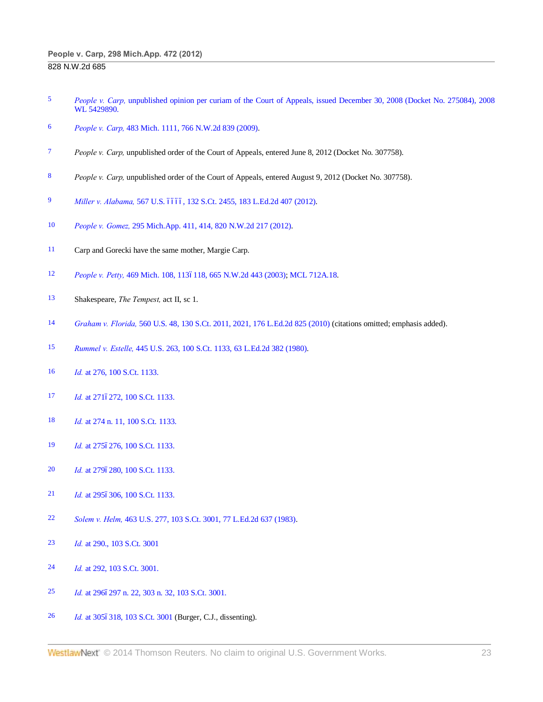- *People v. Carp,* unpublished opinion per curiam of the Court of Appeals, issued December 30, 2008 (Docket No. 275084), 2008 WL 5429890.
- *People v. Carp,* 483 Mich. 1111, 766 N.W.2d 839 (2009).
- *People v. Carp,* unpublished order of the Court of Appeals, entered June 8, 2012 (Docket No. 307758).
- *People v. Carp,* unpublished order of the Court of Appeals, entered August 9, 2012 (Docket No. 307758).
- *Miller v. Alabama,* 567 U.S. 6666, 132 S.Ct. 2455, 183 L.Ed.2d 407 (2012).
- *People v. Gomez,* 295 Mich.App. 411, 414, 820 N.W.2d 217 (2012).
- Carp and Gorecki have the same mother, Margie Carp.
- *People v. Petty,* 469 Mich. 108, 1136118, 665 N.W.2d 443 (2003); MCL 712A.18.
- Shakespeare, *The Tempest,* act II, sc 1.
- *Graham v. Florida,* 560 U.S. 48, 130 S.Ct. 2011, 2021, 176 L.Ed.2d 825 (2010) (citations omitted; emphasis added).
- *Rummel v. Estelle,* 445 U.S. 263, 100 S.Ct. 1133, 63 L.Ed.2d 382 (1980).
- *Id.* at 276, 100 S.Ct. 1133.
- *Id.* at 2716272, 100 S.Ct. 1133.
- *Id.* at 274 n. 11, 100 S.Ct. 1133.
- *Id.* at 2756276, 100 S.Ct. 1133.
- *Id.* at 2796280, 100 S.Ct. 1133.
- *Id.* at 2956306, 100 S.Ct. 1133.
- *Solem v. Helm,* 463 U.S. 277, 103 S.Ct. 3001, 77 L.Ed.2d 637 (1983).
- *Id.* at 290., 103 S.Ct. 3001
- *Id.* at 292, 103 S.Ct. 3001.
- *Id.* at 2966297 n. 22, 303 n. 32, 103 S.Ct. 3001.
- *Id.* at 3056318, 103 S.Ct. 3001 (Burger, C.J., dissenting).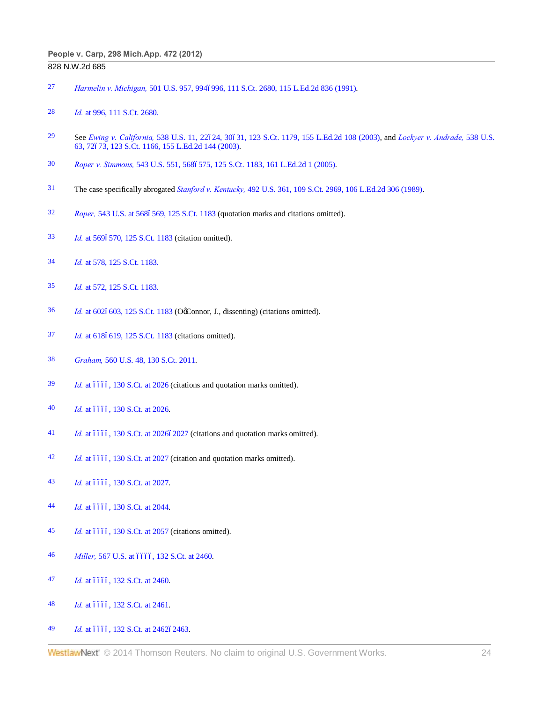- *Harmelin v. Michigan,* 501 U.S. 957, 9946996, 111 S.Ct. 2680, 115 L.Ed.2d 836 (1991).
- *Id.* at 996, 111 S.Ct. 2680.
- 29 See *Ewing v. California*, 538 U.S. 11, 22624, 30631, 123 S.Ct. 1179, 155 L.Ed.2d 108 (2003), and *Lockyer v. Andrade*, 538 U.S. 63, 72–73, 123 S.Ct. 1166, 155 L.Ed.2d 144 (2003).
- *Roper v. Simmons,* 543 U.S. 551, 568–575, 125 S.Ct. 1183, 161 L.Ed.2d 1 (2005).
- The case specifically abrogated *Stanford v. Kentucky,* 492 U.S. 361, 109 S.Ct. 2969, 106 L.Ed.2d 306 (1989).
- *Roper*, 543 U.S. at 5686569, 125 S.Ct. 1183 (quotation marks and citations omitted).
- *Id.* at 5696570, 125 S.Ct. 1183 (citation omitted).
- *Id.* at 578, 125 S.Ct. 1183.
- *Id.* at 572, 125 S.Ct. 1183.
- *Id.* at 6026603, 125 S.Ct. 1183 (OgConnor, J., dissenting) (citations omitted).
- *Id.* at 6186619, 125 S.Ct. 1183 (citations omitted).
- *Graham,* 560 U.S. 48, 130 S.Ct. 2011.
- *Id.* at 6666, 130 S.Ct. at 2026 (citations and quotation marks omitted).
- *Id.* at 6666, 130 S.Ct. at 2026.
- *Id.* at 6666, 130 S.Ct. at 202662027 (citations and quotation marks omitted).
- *Id.* at 6666, 130 S.Ct. at 2027 (citation and quotation marks omitted).
- *Id.* at 6666, 130 S.Ct. at 2027.
- *Id.* at 6666, 130 S.Ct. at 2044.
- *Id.* at 6666, 130 S.Ct. at 2057 (citations omitted).
- *Miller*, 567 U.S. at 6666, 132 S.Ct. at 2460.
- *Id.* at 6666, 132 S.Ct. at 2460.
- *Id.* at 6666, 132 S.Ct. at 2461.
- *Id.* at 6666, 132 S.Ct. at 246262463.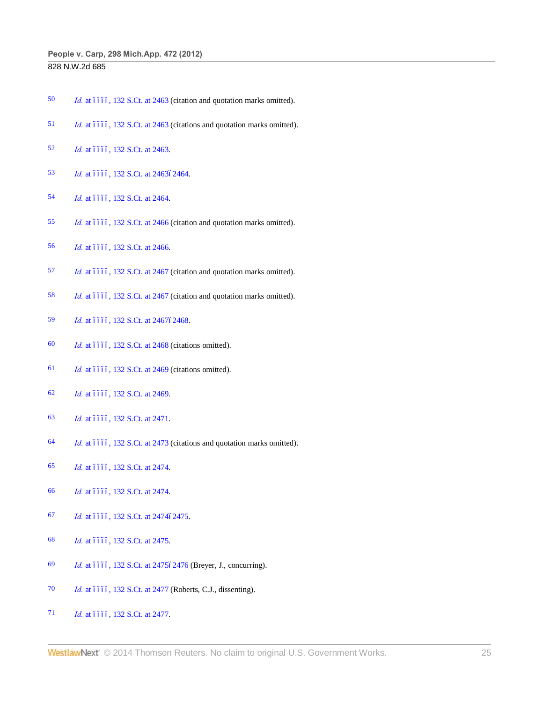- *Id.* at 6666, 132 S.Ct. at 2463 (citation and quotation marks omitted).
- *Id.* at 6666, 132 S.Ct. at 2463 (citations and quotation marks omitted).
- *Id.* at 6666, 132 S.Ct. at 2463.
- *Id.* at 6666, 132 S.Ct. at 246362464.
- *Id.* at 6666, 132 S.Ct. at 2464.
- *Id.* at 6666, 132 S.Ct. at 2466 (citation and quotation marks omitted).
- *Id.* at 6666, 132 S.Ct. at 2466.
- *Id.* at 6666, 132 S.Ct. at 2467 (citation and quotation marks omitted).
- *Id.* at 6666, 132 S.Ct. at 2467 (citation and quotation marks omitted).
- *Id.* at 6666, 132 S.Ct. at 246762468.
- *Id.* at 6666, 132 S.Ct. at 2468 (citations omitted).
- *Id.* at 6666, 132 S.Ct. at 2469 (citations omitted).
- *Id.* at 6666, 132 S.Ct. at 2469.
- *Id.* at 6666, 132 S.Ct. at 2471.
- *Id.* at 6666, 132 S.Ct. at 2473 (citations and quotation marks omitted).
- *Id.* at 6666, 132 S.Ct. at 2474.
- *Id.* at 6666, 132 S.Ct. at 2474.
- *Id.* at 6666, 132 S.Ct. at 247462475.
- *Id.* at 6666, 132 S.Ct. at 2475.
- *Id.* at 6666, 132 S.Ct. at 247562476 (Breyer, J., concurring).
- *Id.* at 6666, 132 S.Ct. at 2477 (Roberts, C.J., dissenting).
- *Id.* at 6666, 132 S.Ct. at 2477.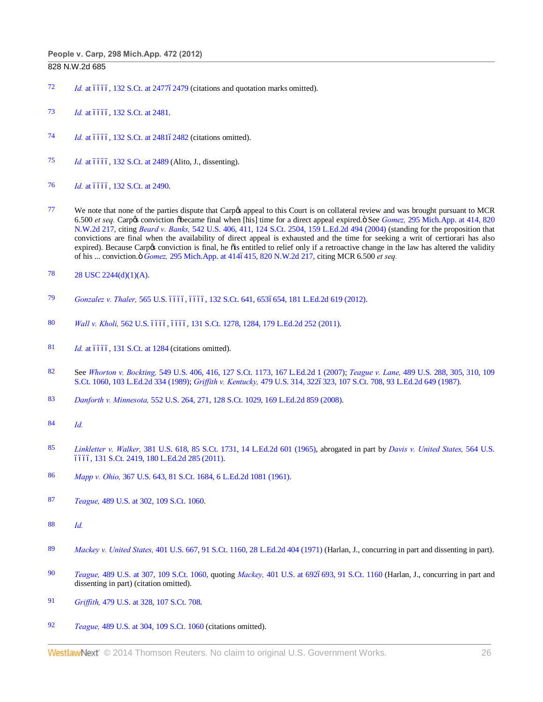#### **People v. Carp, 298 Mich.App. 472 (2012)**

- 72 *Id.* at 6666, 132 S.Ct. at 247762479 (citations and quotation marks omitted).
- 73 *Id.* at 6666, 132 S.Ct. at 2481.
- 74 *Id.* at 6666, 132 S.Ct. at 248162482 (citations omitted).
- 75 *Id.* at 6666, 132 S.Ct. at 2489 (Alito, J., dissenting).
- 76 *Id.* at 6666, 132 S.Ct. at 2490.
- 77 We note that none of the parties dispute that Carp & appeal to this Court is on collateral review and was brought pursuant to MCR 6.500 *et seq.* Carp's conviction "became final when [his] time for a direct appeal expired." See *Gomez,* 295 Mich.App. at 414, 820 N.W.2d 217, citing *Beard v. Banks,* 542 U.S. 406, 411, 124 S.Ct. 2504, 159 L.Ed.2d 494 (2004) (standing for the proposition that convictions are final when the availability of direct appeal is exhausted and the time for seeking a writ of certiorari has also expired). Because Carpøs conviction is final, he õis entitled to relief only if a retroactive change in the law has altered the validity of his ... conviction." *Gomez,* 295 Mich.App. at 414–415, 820 N.W.2d 217, citing MCR 6.500 *et seq.*
- 78 28 USC 2244(d)(1)(A).
- 79 *Gonzalez v. Thaler,* 565 U.S. 6666, 6666, 132 S.Ct. 641, 6536654, 181 L.Ed.2d 619 (2012).
- 80 *Wall v. Kholi,* 562 U.S. 6666, 6666, 131 S.Ct. 1278, 1284, 179 L.Ed.2d 252 (2011).
- 81 *Id.* at 6666, 131 S.Ct. at 1284 (citations omitted).
- 82 See *Whorton v. Bockting,* 549 U.S. 406, 416, 127 S.Ct. 1173, 167 L.Ed.2d 1 (2007); *Teague v. Lane,* 489 U.S. 288, 305, 310, 109 S.Ct. 1060, 103 L.Ed.2d 334 (1989); *Griffith v. Kentucky,* 479 U.S. 314, 322–323, 107 S.Ct. 708, 93 L.Ed.2d 649 (1987).
- 83 *Danforth v. Minnesota,* 552 U.S. 264, 271, 128 S.Ct. 1029, 169 L.Ed.2d 859 (2008).
- 84 *Id.*
- 85 *Linkletter v. Walker,* 381 U.S. 618, 85 S.Ct. 1731, 14 L.Ed.2d 601 (1965), abrogated in part by *Davis v. United States,* 564 U.S. ––––, 131 S.Ct. 2419, 180 L.Ed.2d 285 (2011).
- 86 *Mapp v. Ohio,* 367 U.S. 643, 81 S.Ct. 1684, 6 L.Ed.2d 1081 (1961).
- 87 *Teague,* 489 U.S. at 302, 109 S.Ct. 1060.
- 88 *Id.*
- 89 *Mackey v. United States,* 401 U.S. 667, 91 S.Ct. 1160, 28 L.Ed.2d 404 (1971) (Harlan, J., concurring in part and dissenting in part).
- 90 *Teague,* 489 U.S. at 307, 109 S.Ct. 1060, quoting *Mackey*, 401 U.S. at 6926693, 91 S.Ct. 1160 (Harlan, J., concurring in part and dissenting in part) (citation omitted).
- 91 *Griffith,* 479 U.S. at 328, 107 S.Ct. 708.
- 92 *Teague,* 489 U.S. at 304, 109 S.Ct. 1060 (citations omitted).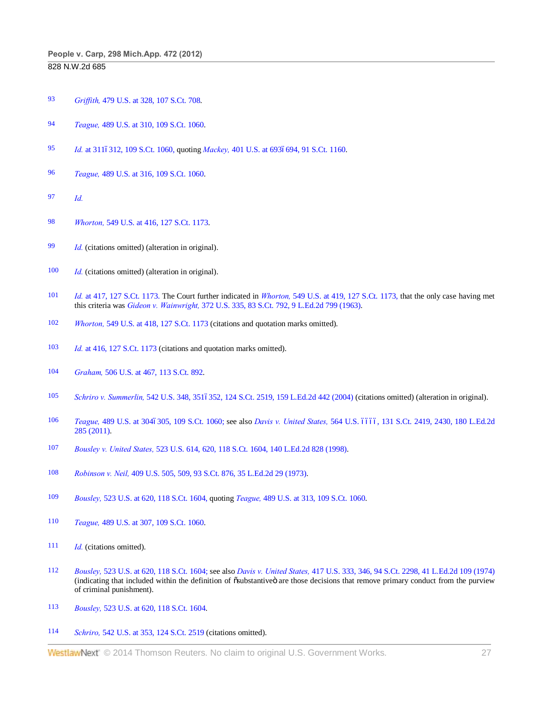- *Griffith,* 479 U.S. at 328, 107 S.Ct. 708.
- *Teague,* 489 U.S. at 310, 109 S.Ct. 1060.
- *Id.* at 3116312, 109 S.Ct. 1060, quoting *Mackey*, 401 U.S. at 6936694, 91 S.Ct. 1160.
- *Teague,* 489 U.S. at 316, 109 S.Ct. 1060.
- *Id.*
- *Whorton,* 549 U.S. at 416, 127 S.Ct. 1173.
- *Id.* (citations omitted) (alteration in original).
- *Id.* (citations omitted) (alteration in original).
- *Id.* at 417, 127 S.Ct. 1173. The Court further indicated in *Whorton,* 549 U.S. at 419, 127 S.Ct. 1173, that the only case having met this criteria was *Gideon v. Wainwright,* 372 U.S. 335, 83 S.Ct. 792, 9 L.Ed.2d 799 (1963).
- *Whorton,* 549 U.S. at 418, 127 S.Ct. 1173 (citations and quotation marks omitted).
- *Id.* at 416, 127 S.Ct. 1173 (citations and quotation marks omitted).
- *Graham,* 506 U.S. at 467, 113 S.Ct. 892.
- *Schriro v. Summerlin,* 542 U.S. 348, 3516352, 124 S.Ct. 2519, 159 L.Ed.2d 442 (2004) (citations omitted) (alteration in original).
- *Teague,* 489 U.S. at 3046305, 109 S.Ct. 1060; see also *Davis v. United States*, 564 U.S. 6666, 131 S.Ct. 2419, 2430, 180 L.Ed.2d 285 (2011).
- *Bousley v. United States,* 523 U.S. 614, 620, 118 S.Ct. 1604, 140 L.Ed.2d 828 (1998).
- *Robinson v. Neil,* 409 U.S. 505, 509, 93 S.Ct. 876, 35 L.Ed.2d 29 (1973).
- *Bousley,* 523 U.S. at 620, 118 S.Ct. 1604, quoting *Teague,* 489 U.S. at 313, 109 S.Ct. 1060.
- *Teague,* 489 U.S. at 307, 109 S.Ct. 1060.
- *Id.* (citations omitted).
- *Bousley,* 523 U.S. at 620, 118 S.Ct. 1604; see also *Davis v. United States,* 417 U.S. 333, 346, 94 S.Ct. 2298, 41 L.Ed.2d 109 (1974) (indicating that included within the definition of  $\delta$ substantive are those decisions that remove primary conduct from the purview of criminal punishment).
- *Bousley,* 523 U.S. at 620, 118 S.Ct. 1604.
- *Schriro,* 542 U.S. at 353, 124 S.Ct. 2519 (citations omitted).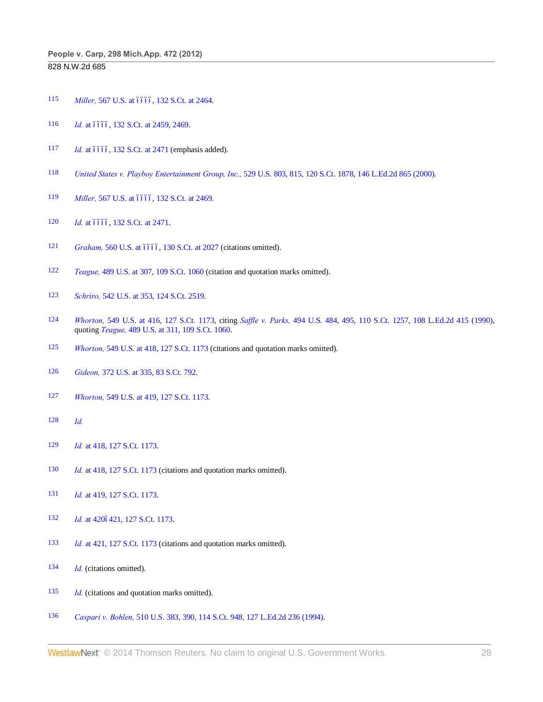- *Miller*, 567 U.S. at 6666, 132 S.Ct. at 2464.
- *Id.* at 6666, 132 S.Ct. at 2459, 2469.
- *Id.* at 6666, 132 S.Ct. at 2471 (emphasis added).
- *United States v. Playboy Entertainment Group, Inc.,* 529 U.S. 803, 815, 120 S.Ct. 1878, 146 L.Ed.2d 865 (2000).
- *Miller*, 567 U.S. at 6666, 132 S.Ct. at 2469.
- *Id.* at 6666, 132 S.Ct. at 2471.
- *Graham,* 560 U.S. at 6666, 130 S.Ct. at 2027 (citations omitted).
- *Teague,* 489 U.S. at 307, 109 S.Ct. 1060 (citation and quotation marks omitted).
- *Schriro,* 542 U.S. at 353, 124 S.Ct. 2519.
- *Whorton,* 549 U.S. at 416, 127 S.Ct. 1173, citing *Saffle v. Parks,* 494 U.S. 484, 495, 110 S.Ct. 1257, 108 L.Ed.2d 415 (1990), quoting *Teague,* 489 U.S. at 311, 109 S.Ct. 1060.
- *Whorton,* 549 U.S. at 418, 127 S.Ct. 1173 (citations and quotation marks omitted).
- *Gideon,* 372 U.S. at 335, 83 S.Ct. 792.
- *Whorton,* 549 U.S. at 419, 127 S.Ct. 1173.
- *Id.*
- *Id.* at 418, 127 S.Ct. 1173.
- *Id.* at 418, 127 S.Ct. 1173 (citations and quotation marks omitted).
- *Id.* at 419, 127 S.Ct. 1173.
- *Id.* at 4206421, 127 S.Ct. 1173.
- *Id.* at 421, 127 S.Ct. 1173 (citations and quotation marks omitted).
- *Id.* (citations omitted).
- *Id.* (citations and quotation marks omitted).
- *Caspari v. Bohlen,* 510 U.S. 383, 390, 114 S.Ct. 948, 127 L.Ed.2d 236 (1994).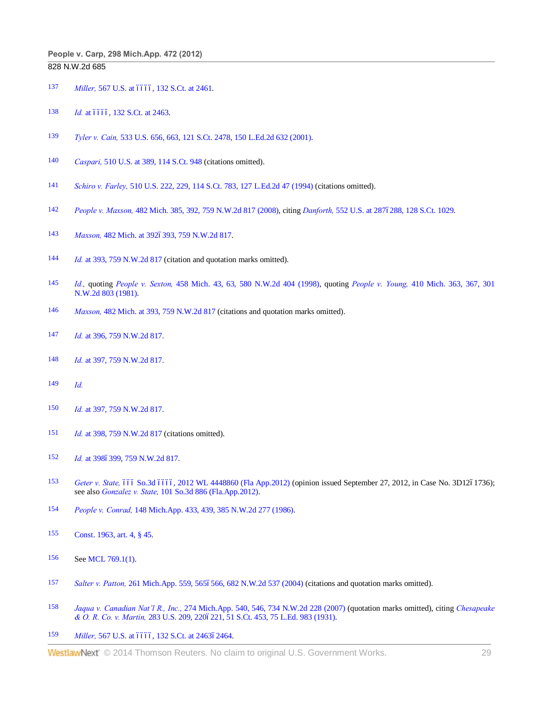#### **People v. Carp, 298 Mich.App. 472 (2012)**

- *Miller,* 567 U.S. at 6666, 132 S.Ct. at 2461.
- *Id.* at 6666, 132 S.Ct. at 2463.
- *Tyler v. Cain,* 533 U.S. 656, 663, 121 S.Ct. 2478, 150 L.Ed.2d 632 (2001).
- *Caspari,* 510 U.S. at 389, 114 S.Ct. 948 (citations omitted).
- *Schiro v. Farley,* 510 U.S. 222, 229, 114 S.Ct. 783, 127 L.Ed.2d 47 (1994) (citations omitted).
- *People v. Maxson,* 482 Mich. 385, 392, 759 N.W.2d 817 (2008), citing *Danforth*, 552 U.S. at 2876288, 128 S.Ct. 1029.
- *Maxson*, 482 Mich. at 3926393, 759 N.W.2d 817.
- *Id.* at 393, 759 N.W.2d 817 (citation and quotation marks omitted).
- *Id.,* quoting *People v. Sexton,* 458 Mich. 43, 63, 580 N.W.2d 404 (1998), quoting *People v. Young,* 410 Mich. 363, 367, 301 N.W.2d 803 (1981).
- *Maxson,* 482 Mich. at 393, 759 N.W.2d 817 (citations and quotation marks omitted).
- *Id.* at 396, 759 N.W.2d 817.
- *Id.* at 397, 759 N.W.2d 817.
- *Id.*
- *Id.* at 397, 759 N.W.2d 817.
- *Id.* at 398, 759 N.W.2d 817 (citations omitted).
- *Id.* at 3986399, 759 N.W.2d 817.
- *Geter v. State,* 666 So.3d 6666, 2012 WL 4448860 (Fla App.2012) (opinion issued September 27, 2012, in Case No. 3D1261736); see also *Gonzalez v. State,* 101 So.3d 886 (Fla.App.2012).
- *People v. Conrad,* 148 Mich.App. 433, 439, 385 N.W.2d 277 (1986).
- Const. 1963, art. 4, § 45.
- See MCL 769.1(1).
- *Salter v. Patton*, 261 Mich.App. 559, 5656566, 682 N.W.2d 537 (2004) (citations and quotation marks omitted).
- *Jaqua v. Canadian Nat'l R., Inc.,* 274 Mich.App. 540, 546, 734 N.W.2d 228 (2007) (quotation marks omitted), citing *Chesapeake & O. R. Co. v. Martin, 283 U.S. 209, 2206221, 51 S.Ct. 453, 75 L.Ed. 983 (1931).*
- *Miller*, 567 U.S. at 6666, 132 S.Ct. at 246362464.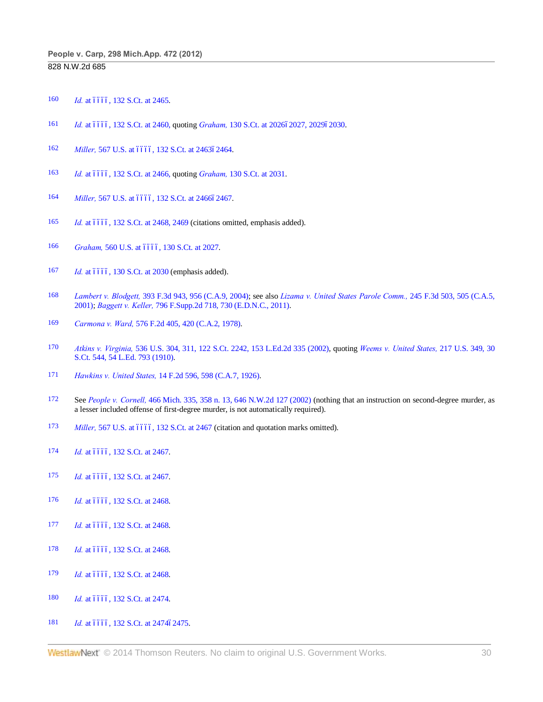#### *Id.* at 6666, 132 S.Ct. at 2465.

- *Id.* at 6666, 132 S.Ct. at 2460, quoting *Graham*, 130 S.Ct. at 202662027, 202962030.
- *Miller,* 567 U.S. at 6666, 132 S.Ct. at 246362464.
- *Id.* at 6666, 132 S.Ct. at 2466, quoting *Graham*, 130 S.Ct. at 2031.
- *Miller,* 567 U.S. at 6666, 132 S.Ct. at 246662467.
- *Id.* at 6666, 132 S.Ct. at 2468, 2469 (citations omitted, emphasis added).
- *Graham,* 560 U.S. at 6666, 130 S.Ct. at 2027.
- *Id.* at 6666, 130 S.Ct. at 2030 (emphasis added).
- *Lambert v. Blodgett,* 393 F.3d 943, 956 (C.A.9, 2004); see also *Lizama v. United States Parole Comm.,* 245 F.3d 503, 505 (C.A.5, 2001); *Baggett v. Keller,* 796 F.Supp.2d 718, 730 (E.D.N.C., 2011).
- *Carmona v. Ward,* 576 F.2d 405, 420 (C.A.2, 1978).
- *Atkins v. Virginia,* 536 U.S. 304, 311, 122 S.Ct. 2242, 153 L.Ed.2d 335 (2002), quoting *Weems v. United States,* 217 U.S. 349, 30 S.Ct. 544, 54 L.Ed. 793 (1910).
- *Hawkins v. United States,* 14 F.2d 596, 598 (C.A.7, 1926).
- See *People v. Cornell,* 466 Mich. 335, 358 n. 13, 646 N.W.2d 127 (2002) (nothing that an instruction on second-degree murder, as a lesser included offense of first-degree murder, is not automatically required).
- *Miller,* 567 U.S. at 6666, 132 S.Ct. at 2467 (citation and quotation marks omitted).
- *Id.* at 6666, 132 S.Ct. at 2467.
- *Id.* at 6666, 132 S.Ct. at 2467.
- *Id.* at 6666, 132 S.Ct. at 2468.
- *Id.* at 6666, 132 S.Ct. at 2468.
- *Id.* at 6666, 132 S.Ct. at 2468.
- *Id.* at 6666, 132 S.Ct. at 2468.
- *Id.* at 6666, 132 S.Ct. at 2474.
- *Id.* at 6666, 132 S.Ct. at 247462475.